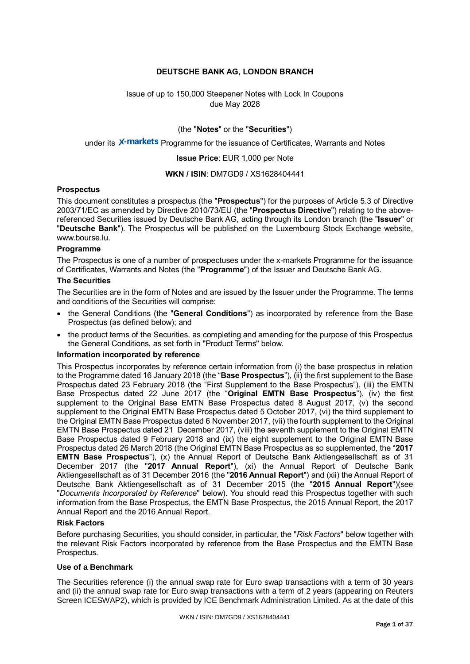# **DEUTSCHE BANK AG, LONDON BRANCH**

Issue of up to 150,000 Steepener Notes with Lock In Coupons due May 2028

(the "**Notes**" or the "**Securities**")

# under its X-markets Programme for the issuance of Certificates, Warrants and Notes

**Issue Price**: EUR 1,000 per Note

### **WKN / ISIN**: DM7GD9 / XS1628404441

### **Prospectus**

This document constitutes a prospectus (the "**Prospectus**") for the purposes of Article 5.3 of Directive 2003/71/EC as amended by Directive 2010/73/EU (the "**Prospectus Directive**") relating to the abovereferenced Securities issued by Deutsche Bank AG, acting through its London branch (the "**Issuer**" or "**Deutsche Bank**"). The Prospectus will be published on the Luxembourg Stock Exchange website, www.bourse.lu.

### **Programme**

The Prospectus is one of a number of prospectuses under the x-markets Programme for the issuance of Certificates, Warrants and Notes (the "**Programme**") of the Issuer and Deutsche Bank AG.

### **The Securities**

The Securities are in the form of Notes and are issued by the Issuer under the Programme. The terms and conditions of the Securities will comprise:

- the General Conditions (the "**General Conditions**") as incorporated by reference from the Base Prospectus (as defined below); and
- the product terms of the Securities, as completing and amending for the purpose of this Prospectus the General Conditions, as set forth in "Product Terms" below.

### **Information incorporated by reference**

This Prospectus incorporates by reference certain information from (i) the base prospectus in relation to the Programme dated 16 January 2018 (the "**Base Prospectus**"), (ii) the first supplement to the Base Prospectus dated 23 February 2018 (the "First Supplement to the Base Prospectus"), (iii) the EMTN Base Prospectus dated 22 June 2017 (the "**Original EMTN Base Prospectus**"), (iv) the first supplement to the Original Base EMTN Base Prospectus dated 8 August 2017, (v) the second supplement to the Original EMTN Base Prospectus dated 5 October 2017, (vi) the third supplement to the Original EMTN Base Prospectus dated 6 November 2017, (vii) the fourth supplement to the Original EMTN Base Prospectus dated 21 December 2017, (viii) the seventh supplement to the Original EMTN Base Prospectus dated 9 February 2018 and (ix) the eight supplement to the Original EMTN Base Prospectus dated 26 March 2018 (the Original EMTN Base Prospectus as so supplemented, the "**2017 EMTN Base Prospectus**"), (x) the Annual Report of Deutsche Bank Aktiengesellschaft as of 31 December 2017 (the "**2017 Annual Report**"), (xi) the Annual Report of Deutsche Bank Aktiengesellschaft as of 31 December 2016 (the "**2016 Annual Report**") and (xii) the Annual Report of Deutsche Bank Aktiengesellschaft as of 31 December 2015 (the "**2015 Annual Report**")(see "*Documents Incorporated by Reference*" below). You should read this Prospectus together with such information from the Base Prospectus, the EMTN Base Prospectus, the 2015 Annual Report, the 2017 Annual Report and the 2016 Annual Report.

### **Risk Factors**

Before purchasing Securities, you should consider, in particular, the "*Risk Factors*" below together with the relevant Risk Factors incorporated by reference from the Base Prospectus and the EMTN Base Prospectus.

### **Use of a Benchmark**

The Securities reference (i) the annual swap rate for Euro swap transactions with a term of 30 years and (ii) the annual swap rate for Euro swap transactions with a term of 2 years (appearing on Reuters Screen ICESWAP2), which is provided by ICE Benchmark Administration Limited. As at the date of this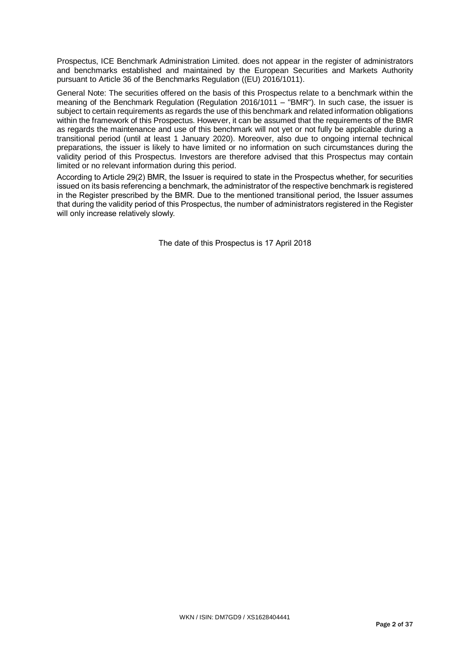Prospectus, ICE Benchmark Administration Limited. does not appear in the register of administrators and benchmarks established and maintained by the European Securities and Markets Authority pursuant to Article 36 of the Benchmarks Regulation ((EU) 2016/1011).

General Note: The securities offered on the basis of this Prospectus relate to a benchmark within the meaning of the Benchmark Regulation (Regulation 2016/1011 – "BMR"). In such case, the issuer is subject to certain requirements as regards the use of this benchmark and related information obligations within the framework of this Prospectus. However, it can be assumed that the requirements of the BMR as regards the maintenance and use of this benchmark will not yet or not fully be applicable during a transitional period (until at least 1 January 2020). Moreover, also due to ongoing internal technical preparations, the issuer is likely to have limited or no information on such circumstances during the validity period of this Prospectus. Investors are therefore advised that this Prospectus may contain limited or no relevant information during this period.

According to Article 29(2) BMR, the Issuer is required to state in the Prospectus whether, for securities issued on its basis referencing a benchmark, the administrator of the respective benchmark is registered in the Register prescribed by the BMR. Due to the mentioned transitional period, the Issuer assumes that during the validity period of this Prospectus, the number of administrators registered in the Register will only increase relatively slowly.

The date of this Prospectus is 17 April 2018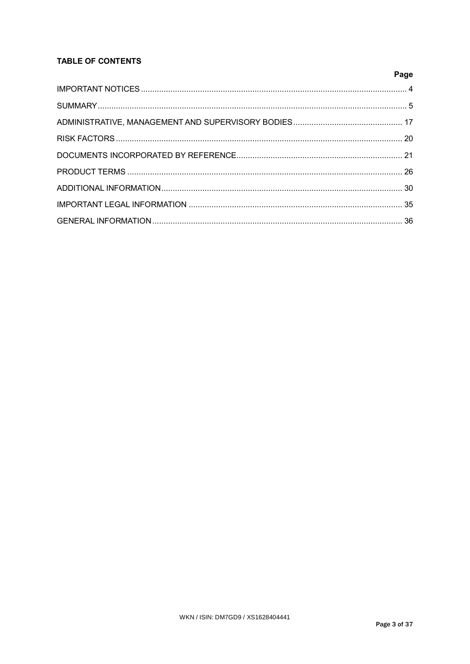# **TABLE OF CONTENTS**

| Page |
|------|
|      |
|      |
|      |
|      |
|      |
|      |
|      |
|      |
|      |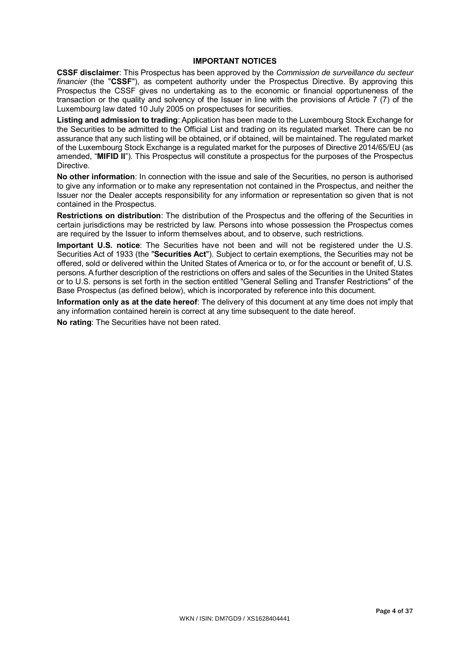## **IMPORTANT NOTICES**

**CSSF disclaimer**: This Prospectus has been approved by the *Commission de surveillance du secteur financier* (the "**CSSF**"), as competent authority under the Prospectus Directive. By approving this Prospectus the CSSF gives no undertaking as to the economic or financial opportuneness of the transaction or the quality and solvency of the Issuer in line with the provisions of Article 7 (7) of the Luxembourg law dated 10 July 2005 on prospectuses for securities.

**Listing and admission to trading**: Application has been made to the Luxembourg Stock Exchange for the Securities to be admitted to the Official List and trading on its regulated market. There can be no assurance that any such listing will be obtained, or if obtained, will be maintained. The regulated market of the Luxembourg Stock Exchange is a regulated market for the purposes of Directive 2014/65/EU (as amended, "**MIFID II**"). This Prospectus will constitute a prospectus for the purposes of the Prospectus Directive.

**No other information**: In connection with the issue and sale of the Securities, no person is authorised to give any information or to make any representation not contained in the Prospectus, and neither the Issuer nor the Dealer accepts responsibility for any information or representation so given that is not contained in the Prospectus.

**Restrictions on distribution**: The distribution of the Prospectus and the offering of the Securities in certain jurisdictions may be restricted by law. Persons into whose possession the Prospectus comes are required by the Issuer to inform themselves about, and to observe, such restrictions.

**Important U.S. notice**: The Securities have not been and will not be registered under the U.S. Securities Act of 1933 (the "**Securities Act**"). Subject to certain exemptions, the Securities may not be offered, sold or delivered within the United States of America or to, or for the account or benefit of, U.S. persons. A further description of the restrictions on offers and sales of the Securities in the United States or to U.S. persons is set forth in the section entitled "General Selling and Transfer Restrictions" of the Base Prospectus (as defined below), which is incorporated by reference into this document.

**Information only as at the date hereof**: The delivery of this document at any time does not imply that any information contained herein is correct at any time subsequent to the date hereof.

**No rating**: The Securities have not been rated.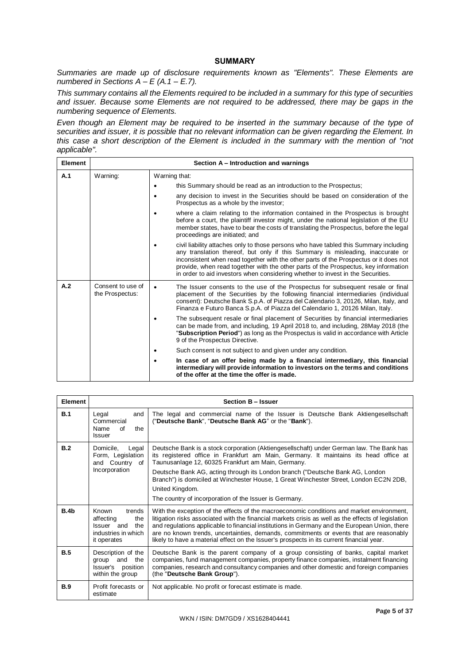### **SUMMARY**

*Summaries are made up of disclosure requirements known as "Elements". These Elements are numbered in Sections A – E (A.1 – E.7).*

*This summary contains all the Elements required to be included in a summary for this type of securities and issuer. Because some Elements are not required to be addressed, there may be gaps in the numbering sequence of Elements.* 

*Even though an Element may be required to be inserted in the summary because of the type of securities and issuer, it is possible that no relevant information can be given regarding the Element. In this case a short description of the Element is included in the summary with the mention of "not applicable".*

| <b>Element</b> |                                      | Section A – Introduction and warnings                                                                                                                                                                                                                                                                                                                                                                                                      |  |  |
|----------------|--------------------------------------|--------------------------------------------------------------------------------------------------------------------------------------------------------------------------------------------------------------------------------------------------------------------------------------------------------------------------------------------------------------------------------------------------------------------------------------------|--|--|
| A.1            | Warning:                             | Warning that:                                                                                                                                                                                                                                                                                                                                                                                                                              |  |  |
|                |                                      | this Summary should be read as an introduction to the Prospectus;                                                                                                                                                                                                                                                                                                                                                                          |  |  |
|                |                                      | any decision to invest in the Securities should be based on consideration of the<br>Prospectus as a whole by the investor;                                                                                                                                                                                                                                                                                                                 |  |  |
|                |                                      | where a claim relating to the information contained in the Prospectus is brought<br>before a court, the plaintiff investor might, under the national legislation of the EU<br>member states, have to bear the costs of translating the Prospectus, before the legal<br>proceedings are initiated; and                                                                                                                                      |  |  |
|                |                                      | civil liability attaches only to those persons who have tabled this Summary including<br>any translation thereof, but only if this Summary is misleading, inaccurate or<br>inconsistent when read together with the other parts of the Prospectus or it does not<br>provide, when read together with the other parts of the Prospectus, key information<br>in order to aid investors when considering whether to invest in the Securities. |  |  |
| A.2            | Consent to use of<br>the Prospectus: | The Issuer consents to the use of the Prospectus for subsequent resale or final<br>$\bullet$<br>placement of the Securities by the following financial intermediaries (individual<br>consent): Deutsche Bank S.p.A. of Piazza del Calendario 3, 20126, Milan, Italy, and<br>Finanza e Futuro Banca S.p.A. of Piazza del Calendario 1, 20126 Milan, Italy.                                                                                  |  |  |
|                |                                      | The subsequent resale or final placement of Securities by financial intermediaries<br>can be made from, and including, 19 April 2018 to, and including, 28May 2018 (the<br>"Subscription Period") as long as the Prospectus is valid in accordance with Article<br>9 of the Prospectus Directive.                                                                                                                                          |  |  |
|                |                                      | Such consent is not subject to and given under any condition.                                                                                                                                                                                                                                                                                                                                                                              |  |  |
|                |                                      | In case of an offer being made by a financial intermediary, this financial<br>intermediary will provide information to investors on the terms and conditions<br>of the offer at the time the offer is made.                                                                                                                                                                                                                                |  |  |

| <b>Element</b> |                                                                                                | Section B - Issuer                                                                                                                                                                                                                                                                                                                                                                                                                                                                             |
|----------------|------------------------------------------------------------------------------------------------|------------------------------------------------------------------------------------------------------------------------------------------------------------------------------------------------------------------------------------------------------------------------------------------------------------------------------------------------------------------------------------------------------------------------------------------------------------------------------------------------|
| B.1            | Legal<br>and<br>Commercial<br>Name<br>Ωf<br>the<br><b>Issuer</b>                               | The legal and commercial name of the Issuer is Deutsche Bank Aktiengesellschaft<br>("Deutsche Bank", "Deutsche Bank AG" or the "Bank").                                                                                                                                                                                                                                                                                                                                                        |
| B.2            | Domicile,<br>Legal<br>Form, Legislation<br>and Country of<br>Incorporation                     | Deutsche Bank is a stock corporation (Aktiengesellschaft) under German law. The Bank has<br>its registered office in Frankfurt am Main, Germany. It maintains its head office at<br>Taunusanlage 12, 60325 Frankfurt am Main, Germany.<br>Deutsche Bank AG, acting through its London branch ("Deutsche Bank AG, London<br>Branch") is domiciled at Winchester House, 1 Great Winchester Street, London EC2N 2DB,<br>United Kingdom.<br>The country of incorporation of the Issuer is Germany. |
| B.4b           | trends<br>Known<br>affecting<br>the<br>Issuer and<br>the<br>industries in which<br>it operates | With the exception of the effects of the macroeconomic conditions and market environment,<br>litigation risks associated with the financial markets crisis as well as the effects of legislation<br>and regulations applicable to financial institutions in Germany and the European Union, there<br>are no known trends, uncertainties, demands, commitments or events that are reasonably<br>likely to have a material effect on the Issuer's prospects in its current financial year.       |
| B.5            | Description of the<br>and<br>the<br>group<br>Issuer's<br>position<br>within the group          | Deutsche Bank is the parent company of a group consisting of banks, capital market<br>companies, fund management companies, property finance companies, instalment financing<br>companies, research and consultancy companies and other domestic and foreign companies<br>(the "Deutsche Bank Group").                                                                                                                                                                                         |
| <b>B.9</b>     | Profit forecasts or<br>estimate                                                                | Not applicable. No profit or forecast estimate is made.                                                                                                                                                                                                                                                                                                                                                                                                                                        |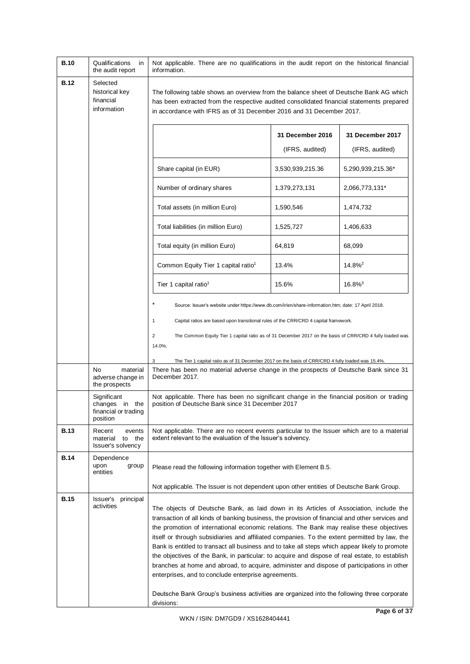| <b>B.10</b> | Qualifications<br>in<br>the audit report                          | Not applicable. There are no qualifications in the audit report on the historical financial<br>information.                                                                                                                                                                                                                                                                                                                                                                                                                                                                                                                                                                                                                                                                                                                                  |                  |                       |
|-------------|-------------------------------------------------------------------|----------------------------------------------------------------------------------------------------------------------------------------------------------------------------------------------------------------------------------------------------------------------------------------------------------------------------------------------------------------------------------------------------------------------------------------------------------------------------------------------------------------------------------------------------------------------------------------------------------------------------------------------------------------------------------------------------------------------------------------------------------------------------------------------------------------------------------------------|------------------|-----------------------|
| <b>B.12</b> | Selected<br>historical key<br>financial<br>information            | The following table shows an overview from the balance sheet of Deutsche Bank AG which<br>has been extracted from the respective audited consolidated financial statements prepared<br>in accordance with IFRS as of 31 December 2016 and 31 December 2017.                                                                                                                                                                                                                                                                                                                                                                                                                                                                                                                                                                                  |                  |                       |
|             |                                                                   |                                                                                                                                                                                                                                                                                                                                                                                                                                                                                                                                                                                                                                                                                                                                                                                                                                              | 31 December 2016 | 31 December 2017      |
|             |                                                                   |                                                                                                                                                                                                                                                                                                                                                                                                                                                                                                                                                                                                                                                                                                                                                                                                                                              | (IFRS, audited)  | (IFRS, audited)       |
|             |                                                                   | Share capital (in EUR)                                                                                                                                                                                                                                                                                                                                                                                                                                                                                                                                                                                                                                                                                                                                                                                                                       | 3,530,939,215.36 | 5,290,939,215.36*     |
|             |                                                                   | Number of ordinary shares                                                                                                                                                                                                                                                                                                                                                                                                                                                                                                                                                                                                                                                                                                                                                                                                                    | 1,379,273,131    | 2,066,773,131*        |
|             |                                                                   | Total assets (in million Euro)                                                                                                                                                                                                                                                                                                                                                                                                                                                                                                                                                                                                                                                                                                                                                                                                               | 1,590,546        | 1,474,732             |
|             |                                                                   | Total liabilities (in million Euro)                                                                                                                                                                                                                                                                                                                                                                                                                                                                                                                                                                                                                                                                                                                                                                                                          | 1,525,727        | 1,406,633             |
|             |                                                                   | Total equity (in million Euro)                                                                                                                                                                                                                                                                                                                                                                                                                                                                                                                                                                                                                                                                                                                                                                                                               | 64,819           | 68,099                |
|             |                                                                   | Common Equity Tier 1 capital ratio <sup>1</sup>                                                                                                                                                                                                                                                                                                                                                                                                                                                                                                                                                                                                                                                                                                                                                                                              | 13.4%            | $14.8\%$ <sup>2</sup> |
|             |                                                                   | Tier 1 capital ratio <sup>1</sup>                                                                                                                                                                                                                                                                                                                                                                                                                                                                                                                                                                                                                                                                                                                                                                                                            | 15.6%            | $16.8\%$ <sup>3</sup> |
|             |                                                                   | Source: Issuer's website under https://www.db.com/ir/en/share-information.htm; date: 17 April 2018.                                                                                                                                                                                                                                                                                                                                                                                                                                                                                                                                                                                                                                                                                                                                          |                  |                       |
|             |                                                                   | 1<br>Capital ratios are based upon transitional rules of the CRR/CRD 4 capital framework.                                                                                                                                                                                                                                                                                                                                                                                                                                                                                                                                                                                                                                                                                                                                                    |                  |                       |
|             |                                                                   | 2<br>The Common Equity Tier 1 capital ratio as of 31 December 2017 on the basis of CRR/CRD 4 fully loaded was                                                                                                                                                                                                                                                                                                                                                                                                                                                                                                                                                                                                                                                                                                                                |                  |                       |
|             |                                                                   | 14.0%.<br>3<br>The Tier 1 capital ratio as of 31 December 2017 on the basis of CRR/CRD 4 fully loaded was 15.4%.                                                                                                                                                                                                                                                                                                                                                                                                                                                                                                                                                                                                                                                                                                                             |                  |                       |
|             | No<br>material<br>adverse change in<br>the prospects              | There has been no material adverse change in the prospects of Deutsche Bank since 31<br>December 2017.                                                                                                                                                                                                                                                                                                                                                                                                                                                                                                                                                                                                                                                                                                                                       |                  |                       |
|             | Significant<br>changes in the<br>financial or trading<br>position | Not applicable. There has been no significant change in the financial position or trading<br>position of Deutsche Bank since 31 December 2017                                                                                                                                                                                                                                                                                                                                                                                                                                                                                                                                                                                                                                                                                                |                  |                       |
| <b>B.13</b> | Recent<br>events<br>material to the<br>Issuer's solvency          | Not applicable. There are no recent events particular to the Issuer which are to a material<br>extent relevant to the evaluation of the Issuer's solvency.                                                                                                                                                                                                                                                                                                                                                                                                                                                                                                                                                                                                                                                                                   |                  |                       |
| <b>B.14</b> | Dependence<br>group<br>upon<br>entities                           | Please read the following information together with Element B.5.                                                                                                                                                                                                                                                                                                                                                                                                                                                                                                                                                                                                                                                                                                                                                                             |                  |                       |
|             |                                                                   | Not applicable. The Issuer is not dependent upon other entities of Deutsche Bank Group.                                                                                                                                                                                                                                                                                                                                                                                                                                                                                                                                                                                                                                                                                                                                                      |                  |                       |
| <b>B.15</b> | Issuer's<br>principal<br>activities                               | The objects of Deutsche Bank, as laid down in its Articles of Association, include the<br>transaction of all kinds of banking business, the provision of financial and other services and<br>the promotion of international economic relations. The Bank may realise these objectives<br>itself or through subsidiaries and affiliated companies. To the extent permitted by law, the<br>Bank is entitled to transact all business and to take all steps which appear likely to promote<br>the objectives of the Bank, in particular: to acquire and dispose of real estate, to establish<br>branches at home and abroad, to acquire, administer and dispose of participations in other<br>enterprises, and to conclude enterprise agreements.<br>Deutsche Bank Group's business activities are organized into the following three corporate |                  |                       |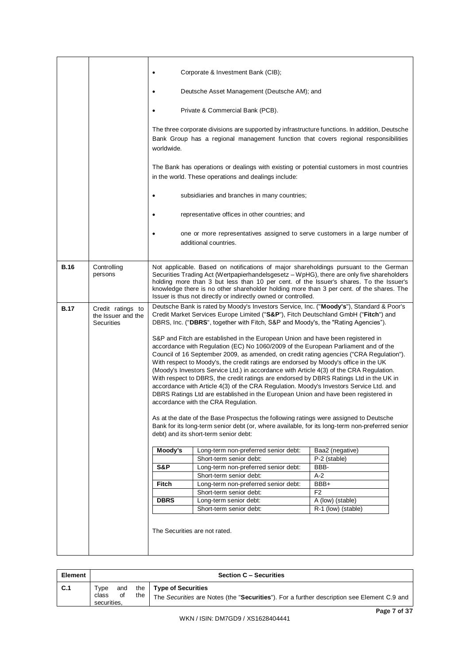|             |                                                              | Corporate & Investment Bank (CIB);<br>$\bullet$                                                                                                                                                                                                                                                                                                                                                                                                                                                                                                                                                                                                                                                                                                                                                                                                               |                                                                                                                                                                                                                                                                                                                                                                                                                                           |                      |  |
|-------------|--------------------------------------------------------------|---------------------------------------------------------------------------------------------------------------------------------------------------------------------------------------------------------------------------------------------------------------------------------------------------------------------------------------------------------------------------------------------------------------------------------------------------------------------------------------------------------------------------------------------------------------------------------------------------------------------------------------------------------------------------------------------------------------------------------------------------------------------------------------------------------------------------------------------------------------|-------------------------------------------------------------------------------------------------------------------------------------------------------------------------------------------------------------------------------------------------------------------------------------------------------------------------------------------------------------------------------------------------------------------------------------------|----------------------|--|
|             |                                                              | $\bullet$                                                                                                                                                                                                                                                                                                                                                                                                                                                                                                                                                                                                                                                                                                                                                                                                                                                     | Deutsche Asset Management (Deutsche AM); and                                                                                                                                                                                                                                                                                                                                                                                              |                      |  |
|             |                                                              | Private & Commercial Bank (PCB).<br>$\bullet$                                                                                                                                                                                                                                                                                                                                                                                                                                                                                                                                                                                                                                                                                                                                                                                                                 |                                                                                                                                                                                                                                                                                                                                                                                                                                           |                      |  |
|             |                                                              | The three corporate divisions are supported by infrastructure functions. In addition, Deutsche<br>Bank Group has a regional management function that covers regional responsibilities<br>worldwide.                                                                                                                                                                                                                                                                                                                                                                                                                                                                                                                                                                                                                                                           |                                                                                                                                                                                                                                                                                                                                                                                                                                           |                      |  |
|             |                                                              | The Bank has operations or dealings with existing or potential customers in most countries<br>in the world. These operations and dealings include:                                                                                                                                                                                                                                                                                                                                                                                                                                                                                                                                                                                                                                                                                                            |                                                                                                                                                                                                                                                                                                                                                                                                                                           |                      |  |
|             |                                                              | $\bullet$                                                                                                                                                                                                                                                                                                                                                                                                                                                                                                                                                                                                                                                                                                                                                                                                                                                     | subsidiaries and branches in many countries;                                                                                                                                                                                                                                                                                                                                                                                              |                      |  |
|             |                                                              | $\bullet$                                                                                                                                                                                                                                                                                                                                                                                                                                                                                                                                                                                                                                                                                                                                                                                                                                                     | representative offices in other countries; and                                                                                                                                                                                                                                                                                                                                                                                            |                      |  |
|             |                                                              | $\bullet$                                                                                                                                                                                                                                                                                                                                                                                                                                                                                                                                                                                                                                                                                                                                                                                                                                                     | one or more representatives assigned to serve customers in a large number of<br>additional countries.                                                                                                                                                                                                                                                                                                                                     |                      |  |
| <b>B.16</b> | Controlling<br>persons                                       |                                                                                                                                                                                                                                                                                                                                                                                                                                                                                                                                                                                                                                                                                                                                                                                                                                                               | Not applicable. Based on notifications of major shareholdings pursuant to the German<br>Securities Trading Act (Wertpapierhandelsgesetz - WpHG), there are only five shareholders<br>holding more than 3 but less than 10 per cent. of the Issuer's shares. To the Issuer's<br>knowledge there is no other shareholder holding more than 3 per cent. of the shares. The<br>Issuer is thus not directly or indirectly owned or controlled. |                      |  |
| <b>B.17</b> | Credit ratings to<br>the Issuer and the<br><b>Securities</b> | Deutsche Bank is rated by Moody's Investors Service, Inc. ("Moody's"), Standard & Poor's<br>Credit Market Services Europe Limited ("S&P"), Fitch Deutschland GmbH ("Fitch") and<br>DBRS, Inc. ("DBRS", together with Fitch, S&P and Moody's, the "Rating Agencies").                                                                                                                                                                                                                                                                                                                                                                                                                                                                                                                                                                                          |                                                                                                                                                                                                                                                                                                                                                                                                                                           |                      |  |
|             |                                                              | S&P and Fitch are established in the European Union and have been registered in<br>accordance with Regulation (EC) No 1060/2009 of the European Parliament and of the<br>Council of 16 September 2009, as amended, on credit rating agencies ("CRA Regulation").<br>With respect to Moody's, the credit ratings are endorsed by Moody's office in the UK<br>(Moody's Investors Service Ltd.) in accordance with Article 4(3) of the CRA Regulation.<br>With respect to DBRS, the credit ratings are endorsed by DBRS Ratings Ltd in the UK in<br>accordance with Article 4(3) of the CRA Regulation. Moody's Investors Service Ltd. and<br>DBRS Ratings Ltd are established in the European Union and have been registered in<br>accordance with the CRA Regulation.<br>As at the date of the Base Prospectus the following ratings were assigned to Deutsche |                                                                                                                                                                                                                                                                                                                                                                                                                                           |                      |  |
|             |                                                              |                                                                                                                                                                                                                                                                                                                                                                                                                                                                                                                                                                                                                                                                                                                                                                                                                                                               | Bank for its long-term senior debt (or, where available, for its long-term non-preferred senior<br>debt) and its short-term senior debt:                                                                                                                                                                                                                                                                                                  |                      |  |
|             |                                                              | Moody's                                                                                                                                                                                                                                                                                                                                                                                                                                                                                                                                                                                                                                                                                                                                                                                                                                                       | Long-term non-preferred senior debt:                                                                                                                                                                                                                                                                                                                                                                                                      | Baa2 (negative)      |  |
|             |                                                              | S&P                                                                                                                                                                                                                                                                                                                                                                                                                                                                                                                                                                                                                                                                                                                                                                                                                                                           | Short-term senior debt:<br>Long-term non-preferred senior debt:                                                                                                                                                                                                                                                                                                                                                                           | P-2 (stable)<br>BBB- |  |
|             |                                                              |                                                                                                                                                                                                                                                                                                                                                                                                                                                                                                                                                                                                                                                                                                                                                                                                                                                               | Short-term senior debt:                                                                                                                                                                                                                                                                                                                                                                                                                   | $A-2$                |  |
|             |                                                              | Fitch                                                                                                                                                                                                                                                                                                                                                                                                                                                                                                                                                                                                                                                                                                                                                                                                                                                         | Long-term non-preferred senior debt:                                                                                                                                                                                                                                                                                                                                                                                                      | BBB+                 |  |
|             |                                                              |                                                                                                                                                                                                                                                                                                                                                                                                                                                                                                                                                                                                                                                                                                                                                                                                                                                               | Short-term senior debt:                                                                                                                                                                                                                                                                                                                                                                                                                   | F <sub>2</sub>       |  |
|             |                                                              | <b>DBRS</b>                                                                                                                                                                                                                                                                                                                                                                                                                                                                                                                                                                                                                                                                                                                                                                                                                                                   | Long-term senior debt:                                                                                                                                                                                                                                                                                                                                                                                                                    | A (low) (stable)     |  |
|             |                                                              |                                                                                                                                                                                                                                                                                                                                                                                                                                                                                                                                                                                                                                                                                                                                                                                                                                                               | Short-term senior debt:                                                                                                                                                                                                                                                                                                                                                                                                                   | R-1 (low) (stable)   |  |
|             |                                                              |                                                                                                                                                                                                                                                                                                                                                                                                                                                                                                                                                                                                                                                                                                                                                                                                                                                               | The Securities are not rated.                                                                                                                                                                                                                                                                                                                                                                                                             |                      |  |

| <b>Element</b> |                              |           |     | <b>Section C - Securities</b>                                                                                                |
|----------------|------------------------------|-----------|-----|------------------------------------------------------------------------------------------------------------------------------|
| C.1            | Tvpe<br>class<br>securities. | and<br>of | the | the $\vert$ Type of Securities<br>The Securities are Notes (the "Securities"). For a further description see Element C.9 and |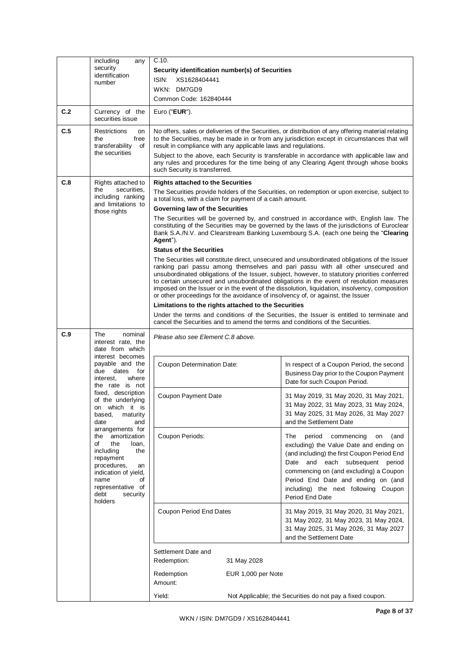|     | including<br>any                                                                                                                                                                                   | C.10.                                                                                                                                                                                                                                                                                                                                                                                                                                                                                                                                                             |                    |                                                                                                                                                                                                                                                                                                                      |
|-----|----------------------------------------------------------------------------------------------------------------------------------------------------------------------------------------------------|-------------------------------------------------------------------------------------------------------------------------------------------------------------------------------------------------------------------------------------------------------------------------------------------------------------------------------------------------------------------------------------------------------------------------------------------------------------------------------------------------------------------------------------------------------------------|--------------------|----------------------------------------------------------------------------------------------------------------------------------------------------------------------------------------------------------------------------------------------------------------------------------------------------------------------|
|     | security<br>identification                                                                                                                                                                         | Security identification number(s) of Securities                                                                                                                                                                                                                                                                                                                                                                                                                                                                                                                   |                    |                                                                                                                                                                                                                                                                                                                      |
|     | number                                                                                                                                                                                             | ISIN:<br>XS1628404441                                                                                                                                                                                                                                                                                                                                                                                                                                                                                                                                             |                    |                                                                                                                                                                                                                                                                                                                      |
|     |                                                                                                                                                                                                    | WKN: DM7GD9                                                                                                                                                                                                                                                                                                                                                                                                                                                                                                                                                       |                    |                                                                                                                                                                                                                                                                                                                      |
|     |                                                                                                                                                                                                    | Common Code: 162840444                                                                                                                                                                                                                                                                                                                                                                                                                                                                                                                                            |                    |                                                                                                                                                                                                                                                                                                                      |
| C.2 | Currency of the<br>securities issue                                                                                                                                                                | Euro (" $EUR$ ").                                                                                                                                                                                                                                                                                                                                                                                                                                                                                                                                                 |                    |                                                                                                                                                                                                                                                                                                                      |
| C.5 | Restrictions<br>on<br>free<br>the<br>transferability<br>of<br>the securities                                                                                                                       | result in compliance with any applicable laws and regulations.                                                                                                                                                                                                                                                                                                                                                                                                                                                                                                    |                    | No offers, sales or deliveries of the Securities, or distribution of any offering material relating<br>to the Securities, may be made in or from any jurisdiction except in circumstances that will                                                                                                                  |
|     |                                                                                                                                                                                                    | such Security is transferred.                                                                                                                                                                                                                                                                                                                                                                                                                                                                                                                                     |                    | Subject to the above, each Security is transferable in accordance with applicable law and<br>any rules and procedures for the time being of any Clearing Agent through whose books                                                                                                                                   |
| C.8 | Rights attached to                                                                                                                                                                                 | <b>Rights attached to the Securities</b>                                                                                                                                                                                                                                                                                                                                                                                                                                                                                                                          |                    |                                                                                                                                                                                                                                                                                                                      |
|     | securities,<br>the<br>including ranking<br>and limitations to                                                                                                                                      | a total loss, with a claim for payment of a cash amount.                                                                                                                                                                                                                                                                                                                                                                                                                                                                                                          |                    | The Securities provide holders of the Securities, on redemption or upon exercise, subject to                                                                                                                                                                                                                         |
|     | those rights                                                                                                                                                                                       | <b>Governing law of the Securities</b>                                                                                                                                                                                                                                                                                                                                                                                                                                                                                                                            |                    |                                                                                                                                                                                                                                                                                                                      |
|     |                                                                                                                                                                                                    | Agent").<br><b>Status of the Securities</b>                                                                                                                                                                                                                                                                                                                                                                                                                                                                                                                       |                    | The Securities will be governed by, and construed in accordance with, English law. The<br>constituting of the Securities may be governed by the laws of the jurisdictions of Euroclear<br>Bank S.A./N.V. and Clearstream Banking Luxembourg S.A. (each one being the "Clearing                                       |
|     |                                                                                                                                                                                                    | The Securities will constitute direct, unsecured and unsubordinated obligations of the Issuer<br>ranking pari passu among themselves and pari passu with all other unsecured and<br>unsubordinated obligations of the Issuer, subject, however, to statutory priorities conferred<br>to certain unsecured and unsubordinated obligations in the event of resolution measures<br>imposed on the Issuer or in the event of the dissolution, liquidation, insolvency, composition<br>or other proceedings for the avoidance of insolvency of, or against, the Issuer |                    |                                                                                                                                                                                                                                                                                                                      |
|     |                                                                                                                                                                                                    | Limitations to the rights attached to the Securities                                                                                                                                                                                                                                                                                                                                                                                                                                                                                                              |                    |                                                                                                                                                                                                                                                                                                                      |
|     |                                                                                                                                                                                                    | Under the terms and conditions of the Securities, the Issuer is entitled to terminate and<br>cancel the Securities and to amend the terms and conditions of the Securities.                                                                                                                                                                                                                                                                                                                                                                                       |                    |                                                                                                                                                                                                                                                                                                                      |
| C.9 | The<br>nominal<br>interest rate, the<br>date from which                                                                                                                                            | Please also see Element C.8 above.                                                                                                                                                                                                                                                                                                                                                                                                                                                                                                                                |                    |                                                                                                                                                                                                                                                                                                                      |
|     | interest becomes<br>payable and the<br>due dates<br>for<br>where<br>interest,                                                                                                                      | Coupon Determination Date:                                                                                                                                                                                                                                                                                                                                                                                                                                                                                                                                        |                    | In respect of a Coupon Period, the second<br>Business Day prior to the Coupon Payment                                                                                                                                                                                                                                |
|     | the rate is not                                                                                                                                                                                    |                                                                                                                                                                                                                                                                                                                                                                                                                                                                                                                                                                   |                    | Date for such Coupon Period.                                                                                                                                                                                                                                                                                         |
|     | fixed, description<br>of the underlying<br>on which it is<br>based,<br>maturity<br>date<br>and                                                                                                     | Coupon Payment Date                                                                                                                                                                                                                                                                                                                                                                                                                                                                                                                                               |                    | 31 May 2019, 31 May 2020, 31 May 2021,<br>31 May 2022, 31 May 2023, 31 May 2024,<br>31 May 2025, 31 May 2026, 31 May 2027<br>and the Settlement Date                                                                                                                                                                 |
|     | arrangements for<br>amortization<br>the<br>of<br>the<br>loan,<br>including<br>the<br>repayment<br>procedures,<br>an<br>indication of yield,<br>name<br>οf<br>representative of<br>debt<br>security | Coupon Periods:                                                                                                                                                                                                                                                                                                                                                                                                                                                                                                                                                   |                    | (and<br>The<br>period<br>commencing<br>on<br>excluding) the Value Date and ending on<br>(and including) the first Coupon Period End<br>and each subsequent period<br>Date<br>commencing on (and excluding) a Coupon<br>Period End Date and ending on (and<br>including) the next following Coupon<br>Period End Date |
|     | holders                                                                                                                                                                                            | Coupon Period End Dates                                                                                                                                                                                                                                                                                                                                                                                                                                                                                                                                           |                    | 31 May 2019, 31 May 2020, 31 May 2021,<br>31 May 2022, 31 May 2023, 31 May 2024,<br>31 May 2025, 31 May 2026, 31 May 2027<br>and the Settlement Date                                                                                                                                                                 |
|     |                                                                                                                                                                                                    | Settlement Date and                                                                                                                                                                                                                                                                                                                                                                                                                                                                                                                                               |                    |                                                                                                                                                                                                                                                                                                                      |
|     |                                                                                                                                                                                                    | Redemption:                                                                                                                                                                                                                                                                                                                                                                                                                                                                                                                                                       | 31 May 2028        |                                                                                                                                                                                                                                                                                                                      |
|     |                                                                                                                                                                                                    | Redemption<br>Amount:                                                                                                                                                                                                                                                                                                                                                                                                                                                                                                                                             | EUR 1,000 per Note |                                                                                                                                                                                                                                                                                                                      |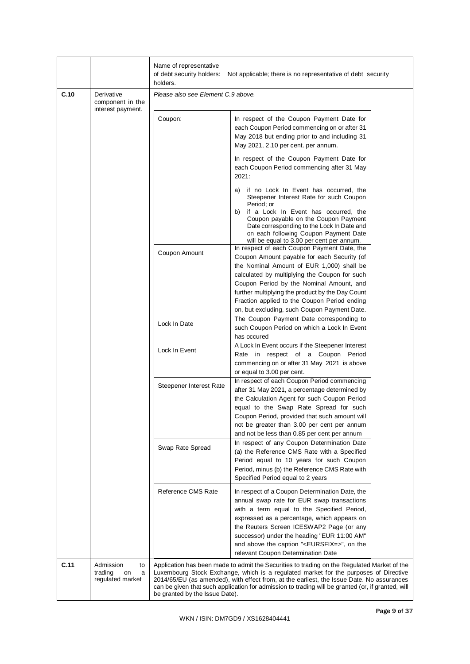|      |                                                           | Name of representative<br>of debt security holders:<br>Not applicable; there is no representative of debt security<br>holders. |                                                                                                                                                                                                                                                                                                                                                                                          |  |
|------|-----------------------------------------------------------|--------------------------------------------------------------------------------------------------------------------------------|------------------------------------------------------------------------------------------------------------------------------------------------------------------------------------------------------------------------------------------------------------------------------------------------------------------------------------------------------------------------------------------|--|
| C.10 | Derivative<br>component in the<br>interest payment.       | Please also see Element C.9 above.                                                                                             |                                                                                                                                                                                                                                                                                                                                                                                          |  |
|      |                                                           | Coupon:                                                                                                                        | In respect of the Coupon Payment Date for<br>each Coupon Period commencing on or after 31<br>May 2018 but ending prior to and including 31<br>May 2021, 2.10 per cent. per annum.                                                                                                                                                                                                        |  |
|      |                                                           |                                                                                                                                | In respect of the Coupon Payment Date for<br>each Coupon Period commencing after 31 May<br>2021:                                                                                                                                                                                                                                                                                         |  |
|      |                                                           |                                                                                                                                | a) if no Lock In Event has occurred, the<br>Steepener Interest Rate for such Coupon<br>Period; or<br>b)<br>if a Lock In Event has occurred, the<br>Coupon payable on the Coupon Payment<br>Date corresponding to the Lock In Date and<br>on each following Coupon Payment Date<br>will be equal to 3.00 per cent per annum.                                                              |  |
|      |                                                           | Coupon Amount                                                                                                                  | In respect of each Coupon Payment Date, the<br>Coupon Amount payable for each Security (of<br>the Nominal Amount of EUR 1,000) shall be<br>calculated by multiplying the Coupon for such<br>Coupon Period by the Nominal Amount, and<br>further multiplying the product by the Day Count<br>Fraction applied to the Coupon Period ending<br>on, but excluding, such Coupon Payment Date. |  |
|      |                                                           | Lock In Date                                                                                                                   | The Coupon Payment Date corresponding to<br>such Coupon Period on which a Lock In Event                                                                                                                                                                                                                                                                                                  |  |
|      |                                                           | Lock In Event                                                                                                                  | has occured<br>A Lock In Event occurs if the Steepener Interest<br>Rate in respect of a Coupon Period<br>commencing on or after 31 May 2021 is above<br>or equal to 3.00 per cent.                                                                                                                                                                                                       |  |
|      |                                                           | Steepener Interest Rate                                                                                                        | In respect of each Coupon Period commencing<br>after 31 May 2021, a percentage determined by<br>the Calculation Agent for such Coupon Period<br>equal to the Swap Rate Spread for such<br>Coupon Period, provided that such amount will<br>not be greater than 3.00 per cent per annum<br>and not be less than 0.85 per cent per annum                                                   |  |
|      |                                                           | Swap Rate Spread                                                                                                               | In respect of any Coupon Determination Date<br>(a) the Reference CMS Rate with a Specified<br>Period equal to 10 years for such Coupon<br>Period, minus (b) the Reference CMS Rate with<br>Specified Period equal to 2 years                                                                                                                                                             |  |
|      |                                                           | Reference CMS Rate                                                                                                             | In respect of a Coupon Determination Date, the<br>annual swap rate for EUR swap transactions<br>with a term equal to the Specified Period,                                                                                                                                                                                                                                               |  |
|      |                                                           |                                                                                                                                | expressed as a percentage, which appears on<br>the Reuters Screen ICESWAP2 Page (or any<br>successor) under the heading "EUR 11:00 AM"<br>and above the caption " <eursfix=>", on the<br/>relevant Coupon Determination Date</eursfix=>                                                                                                                                                  |  |
| C.11 | Admission<br>to<br>trading<br>on<br>a<br>regulated market | be granted by the Issue Date).                                                                                                 | Application has been made to admit the Securities to trading on the Regulated Market of the<br>Luxembourg Stock Exchange, which is a regulated market for the purposes of Directive<br>2014/65/EU (as amended), with effect from, at the earliest, the Issue Date. No assurances<br>can be given that such application for admission to trading will be granted (or, if granted, will    |  |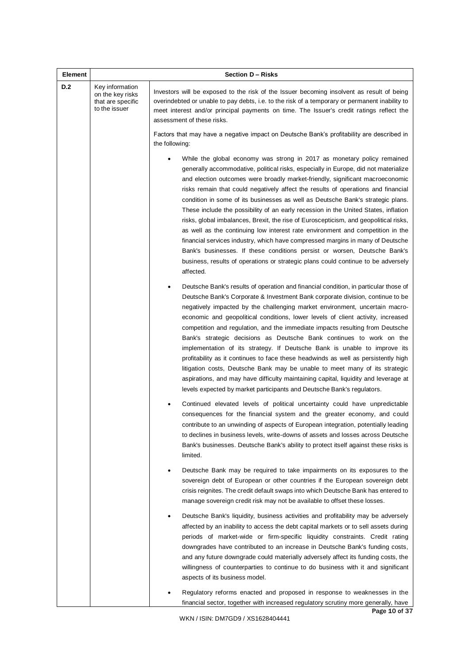| <b>Element</b> |                                                                           | Section D - Risks                                                                                                                                                                                                                                                                                                                                                                                                                                                                                                                                                                                                                                                                                                                                                                                                                                                                                                                                          |  |  |
|----------------|---------------------------------------------------------------------------|------------------------------------------------------------------------------------------------------------------------------------------------------------------------------------------------------------------------------------------------------------------------------------------------------------------------------------------------------------------------------------------------------------------------------------------------------------------------------------------------------------------------------------------------------------------------------------------------------------------------------------------------------------------------------------------------------------------------------------------------------------------------------------------------------------------------------------------------------------------------------------------------------------------------------------------------------------|--|--|
| D.2            | Key information<br>on the key risks<br>that are specific<br>to the issuer | Investors will be exposed to the risk of the Issuer becoming insolvent as result of being<br>overindebted or unable to pay debts, i.e. to the risk of a temporary or permanent inability to<br>meet interest and/or principal payments on time. The Issuer's credit ratings reflect the<br>assessment of these risks.                                                                                                                                                                                                                                                                                                                                                                                                                                                                                                                                                                                                                                      |  |  |
|                |                                                                           | Factors that may have a negative impact on Deutsche Bank's profitability are described in<br>the following:                                                                                                                                                                                                                                                                                                                                                                                                                                                                                                                                                                                                                                                                                                                                                                                                                                                |  |  |
|                |                                                                           | While the global economy was strong in 2017 as monetary policy remained<br>generally accommodative, political risks, especially in Europe, did not materialize<br>and election outcomes were broadly market-friendly, significant macroeconomic<br>risks remain that could negatively affect the results of operations and financial<br>condition in some of its businesses as well as Deutsche Bank's strategic plans.<br>These include the possibility of an early recession in the United States, inflation<br>risks, global imbalances, Brexit, the rise of Euroscepticism, and geopolitical risks,<br>as well as the continuing low interest rate environment and competition in the<br>financial services industry, which have compressed margins in many of Deutsche<br>Bank's businesses. If these conditions persist or worsen, Deutsche Bank's<br>business, results of operations or strategic plans could continue to be adversely<br>affected. |  |  |
|                |                                                                           | Deutsche Bank's results of operation and financial condition, in particular those of<br>$\bullet$<br>Deutsche Bank's Corporate & Investment Bank corporate division, continue to be<br>negatively impacted by the challenging market environment, uncertain macro-<br>economic and geopolitical conditions, lower levels of client activity, increased<br>competition and regulation, and the immediate impacts resulting from Deutsche<br>Bank's strategic decisions as Deutsche Bank continues to work on the<br>implementation of its strategy. If Deutsche Bank is unable to improve its<br>profitability as it continues to face these headwinds as well as persistently high<br>litigation costs, Deutsche Bank may be unable to meet many of its strategic<br>aspirations, and may have difficulty maintaining capital, liquidity and leverage at<br>levels expected by market participants and Deutsche Bank's regulators.                         |  |  |
|                |                                                                           | Continued elevated levels of political uncertainty could have unpredictable<br>consequences for the financial system and the greater economy, and could<br>contribute to an unwinding of aspects of European integration, potentially leading<br>to declines in business levels, write-downs of assets and losses across Deutsche<br>Bank's businesses. Deutsche Bank's ability to protect itself against these risks is<br>limited.                                                                                                                                                                                                                                                                                                                                                                                                                                                                                                                       |  |  |
|                |                                                                           | Deutsche Bank may be required to take impairments on its exposures to the<br>sovereign debt of European or other countries if the European sovereign debt<br>crisis reignites. The credit default swaps into which Deutsche Bank has entered to<br>manage sovereign credit risk may not be available to offset these losses.                                                                                                                                                                                                                                                                                                                                                                                                                                                                                                                                                                                                                               |  |  |
|                |                                                                           | Deutsche Bank's liquidity, business activities and profitability may be adversely<br>affected by an inability to access the debt capital markets or to sell assets during<br>periods of market-wide or firm-specific liquidity constraints. Credit rating<br>downgrades have contributed to an increase in Deutsche Bank's funding costs,<br>and any future downgrade could materially adversely affect its funding costs, the<br>willingness of counterparties to continue to do business with it and significant<br>aspects of its business model.                                                                                                                                                                                                                                                                                                                                                                                                       |  |  |
|                |                                                                           | Regulatory reforms enacted and proposed in response to weaknesses in the<br>financial sector, together with increased regulatory scrutiny more generally, have                                                                                                                                                                                                                                                                                                                                                                                                                                                                                                                                                                                                                                                                                                                                                                                             |  |  |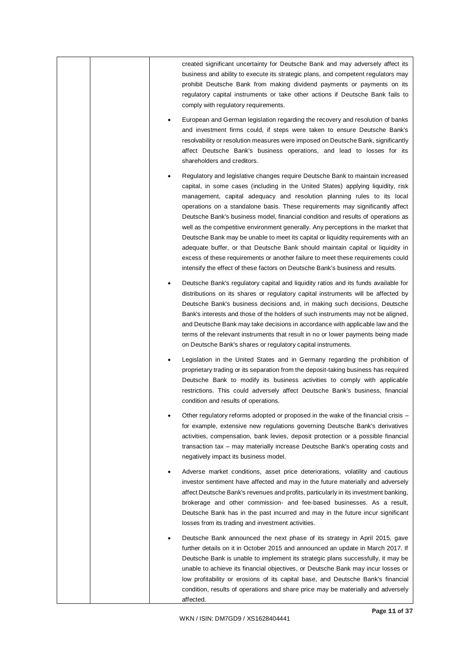|  | created significant uncertainty for Deutsche Bank and may adversely affect its<br>business and ability to execute its strategic plans, and competent regulators may<br>prohibit Deutsche Bank from making dividend payments or payments on its<br>regulatory capital instruments or take other actions if Deutsche Bank fails to<br>comply with regulatory requirements.                                                                                                                                                                                                                                                                                                                                                                                                                                                                             |
|--|------------------------------------------------------------------------------------------------------------------------------------------------------------------------------------------------------------------------------------------------------------------------------------------------------------------------------------------------------------------------------------------------------------------------------------------------------------------------------------------------------------------------------------------------------------------------------------------------------------------------------------------------------------------------------------------------------------------------------------------------------------------------------------------------------------------------------------------------------|
|  | European and German legislation regarding the recovery and resolution of banks<br>and investment firms could, if steps were taken to ensure Deutsche Bank's<br>resolvability or resolution measures were imposed on Deutsche Bank, significantly<br>affect Deutsche Bank's business operations, and lead to losses for its<br>shareholders and creditors.                                                                                                                                                                                                                                                                                                                                                                                                                                                                                            |
|  | Regulatory and legislative changes require Deutsche Bank to maintain increased<br>capital, in some cases (including in the United States) applying liquidity, risk<br>management, capital adequacy and resolution planning rules to its local<br>operations on a standalone basis. These requirements may significantly affect<br>Deutsche Bank's business model, financial condition and results of operations as<br>well as the competitive environment generally. Any perceptions in the market that<br>Deutsche Bank may be unable to meet its capital or liquidity requirements with an<br>adequate buffer, or that Deutsche Bank should maintain capital or liquidity in<br>excess of these requirements or another failure to meet these requirements could<br>intensify the effect of these factors on Deutsche Bank's business and results. |
|  | Deutsche Bank's regulatory capital and liquidity ratios and its funds available for<br>distributions on its shares or regulatory capital instruments will be affected by<br>Deutsche Bank's business decisions and, in making such decisions, Deutsche<br>Bank's interests and those of the holders of such instruments may not be aligned,<br>and Deutsche Bank may take decisions in accordance with applicable law and the<br>terms of the relevant instruments that result in no or lower payments being made<br>on Deutsche Bank's shares or regulatory capital instruments.                                                                                                                                                                                                                                                                    |
|  | Legislation in the United States and in Germany regarding the prohibition of<br>proprietary trading or its separation from the deposit-taking business has required<br>Deutsche Bank to modify its business activities to comply with applicable<br>restrictions. This could adversely affect Deutsche Bank's business, financial<br>condition and results of operations.                                                                                                                                                                                                                                                                                                                                                                                                                                                                            |
|  | Other regulatory reforms adopted or proposed in the wake of the financial crisis –<br>for example, extensive new regulations governing Deutsche Bank's derivatives<br>activities, compensation, bank levies, deposit protection or a possible financial<br>transaction tax - may materially increase Deutsche Bank's operating costs and<br>negatively impact its business model.                                                                                                                                                                                                                                                                                                                                                                                                                                                                    |
|  | Adverse market conditions, asset price deteriorations, volatility and cautious<br>investor sentiment have affected and may in the future materially and adversely<br>affect Deutsche Bank's revenues and profits, particularly in its investment banking,<br>brokerage and other commission- and fee-based businesses. As a result,<br>Deutsche Bank has in the past incurred and may in the future incur significant<br>losses from its trading and investment activities.                                                                                                                                                                                                                                                                                                                                                                          |
|  | Deutsche Bank announced the next phase of its strategy in April 2015, gave<br>further details on it in October 2015 and announced an update in March 2017. If<br>Deutsche Bank is unable to implement its strategic plans successfully, it may be<br>unable to achieve its financial objectives, or Deutsche Bank may incur losses or<br>low profitability or erosions of its capital base, and Deutsche Bank's financial<br>condition, results of operations and share price may be materially and adversely<br>affected.                                                                                                                                                                                                                                                                                                                           |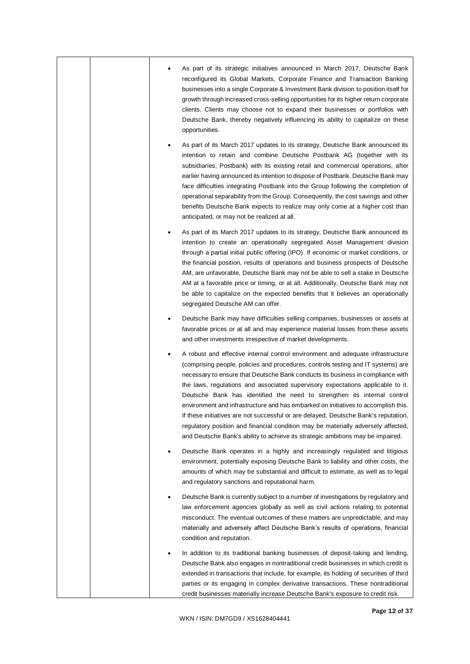|  | As part of its strategic initiatives announced in March 2017, Deutsche Bank<br>reconfigured its Global Markets, Corporate Finance and Transaction Banking<br>businesses into a single Corporate & Investment Bank division to position itself for<br>growth through increased cross-selling opportunities for its higher return corporate<br>clients. Clients may choose not to expand their businesses or portfolios with<br>Deutsche Bank, thereby negatively influencing its ability to capitalize on these<br>opportunities.                                                                                                                                                                                                                                            |
|--|-----------------------------------------------------------------------------------------------------------------------------------------------------------------------------------------------------------------------------------------------------------------------------------------------------------------------------------------------------------------------------------------------------------------------------------------------------------------------------------------------------------------------------------------------------------------------------------------------------------------------------------------------------------------------------------------------------------------------------------------------------------------------------|
|  | As part of its March 2017 updates to its strategy, Deutsche Bank announced its<br>intention to retain and combine Deutsche Postbank AG (together with its<br>subsidiaries, Postbank) with its existing retail and commercial operations, after<br>earlier having announced its intention to dispose of Postbank. Deutsche Bank may<br>face difficulties integrating Postbank into the Group following the completion of<br>operational separability from the Group. Consequently, the cost savings and other<br>benefits Deutsche Bank expects to realize may only come at a higher cost than<br>anticipated, or may not be realized at all.                                                                                                                                |
|  | As part of its March 2017 updates to its strategy, Deutsche Bank announced its<br>intention to create an operationally segregated Asset Management division<br>through a partial initial public offering (IPO). If economic or market conditions, or<br>the financial position, results of operations and business prospects of Deutsche<br>AM, are unfavorable, Deutsche Bank may not be able to sell a stake in Deutsche<br>AM at a favorable price or timing, or at all. Additionally, Deutsche Bank may not<br>be able to capitalize on the expected benefits that it believes an operationally<br>segregated Deutsche AM can offer.                                                                                                                                    |
|  | Deutsche Bank may have difficulties selling companies, businesses or assets at<br>favorable prices or at all and may experience material losses from these assets<br>and other investments irrespective of market developments.                                                                                                                                                                                                                                                                                                                                                                                                                                                                                                                                             |
|  | A robust and effective internal control environment and adequate infrastructure<br>(comprising people, policies and procedures, controls testing and IT systems) are<br>necessary to ensure that Deutsche Bank conducts its business in compliance with<br>the laws, regulations and associated supervisory expectations applicable to it.<br>Deutsche Bank has identified the need to strengthen its internal control<br>environment and infrastructure and has embarked on initiatives to accomplish this.<br>If these initiatives are not successful or are delayed, Deutsche Bank's reputation,<br>regulatory position and financial condition may be materially adversely affected,<br>and Deutsche Bank's ability to achieve its strategic ambitions may be impaired. |
|  | Deutsche Bank operates in a highly and increasingly regulated and litigious<br>environment, potentially exposing Deutsche Bank to liability and other costs, the<br>amounts of which may be substantial and difficult to estimate, as well as to legal<br>and regulatory sanctions and reputational harm.                                                                                                                                                                                                                                                                                                                                                                                                                                                                   |
|  | Deutsche Bank is currently subject to a number of investigations by regulatory and<br>law enforcement agencies globally as well as civil actions relating to potential<br>misconduct. The eventual outcomes of these matters are unpredictable, and may<br>materially and adversely affect Deutsche Bank's results of operations, financial<br>condition and reputation.                                                                                                                                                                                                                                                                                                                                                                                                    |
|  | In addition to its traditional banking businesses of deposit-taking and lending,<br>Deutsche Bank also engages in nontraditional credit businesses in which credit is<br>extended in transactions that include, for example, its holding of securities of third<br>parties or its engaging in complex derivative transactions. These nontraditional<br>credit businesses materially increase Deutsche Bank's exposure to credit risk.                                                                                                                                                                                                                                                                                                                                       |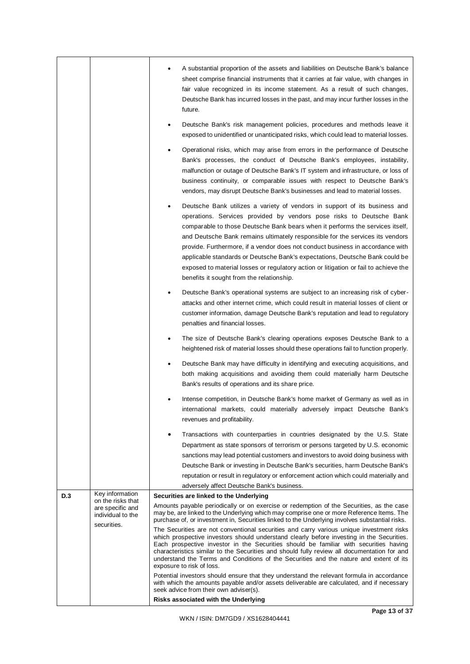|     |                                                                           | A substantial proportion of the assets and liabilities on Deutsche Bank's balance<br>sheet comprise financial instruments that it carries at fair value, with changes in<br>fair value recognized in its income statement. As a result of such changes,<br>Deutsche Bank has incurred losses in the past, and may incur further losses in the<br>future.                                                                                                                                                                                                                                                                    |
|-----|---------------------------------------------------------------------------|-----------------------------------------------------------------------------------------------------------------------------------------------------------------------------------------------------------------------------------------------------------------------------------------------------------------------------------------------------------------------------------------------------------------------------------------------------------------------------------------------------------------------------------------------------------------------------------------------------------------------------|
|     |                                                                           | Deutsche Bank's risk management policies, procedures and methods leave it<br>exposed to unidentified or unanticipated risks, which could lead to material losses.                                                                                                                                                                                                                                                                                                                                                                                                                                                           |
|     |                                                                           | Operational risks, which may arise from errors in the performance of Deutsche<br>Bank's processes, the conduct of Deutsche Bank's employees, instability,<br>malfunction or outage of Deutsche Bank's IT system and infrastructure, or loss of<br>business continuity, or comparable issues with respect to Deutsche Bank's<br>vendors, may disrupt Deutsche Bank's businesses and lead to material losses.                                                                                                                                                                                                                 |
|     |                                                                           | Deutsche Bank utilizes a variety of vendors in support of its business and<br>operations. Services provided by vendors pose risks to Deutsche Bank<br>comparable to those Deutsche Bank bears when it performs the services itself,<br>and Deutsche Bank remains ultimately responsible for the services its vendors<br>provide. Furthermore, if a vendor does not conduct business in accordance with<br>applicable standards or Deutsche Bank's expectations, Deutsche Bank could be<br>exposed to material losses or regulatory action or litigation or fail to achieve the<br>benefits it sought from the relationship. |
|     |                                                                           | Deutsche Bank's operational systems are subject to an increasing risk of cyber-<br>attacks and other internet crime, which could result in material losses of client or<br>customer information, damage Deutsche Bank's reputation and lead to regulatory<br>penalties and financial losses.                                                                                                                                                                                                                                                                                                                                |
|     |                                                                           | The size of Deutsche Bank's clearing operations exposes Deutsche Bank to a<br>٠<br>heightened risk of material losses should these operations fail to function properly.                                                                                                                                                                                                                                                                                                                                                                                                                                                    |
|     |                                                                           | Deutsche Bank may have difficulty in identifying and executing acquisitions, and<br>both making acquisitions and avoiding them could materially harm Deutsche<br>Bank's results of operations and its share price.                                                                                                                                                                                                                                                                                                                                                                                                          |
|     |                                                                           | Intense competition, in Deutsche Bank's home market of Germany as well as in<br>international markets, could materially adversely impact Deutsche Bank's<br>revenues and profitability.                                                                                                                                                                                                                                                                                                                                                                                                                                     |
|     |                                                                           | Transactions with counterparties in countries designated by the U.S. State                                                                                                                                                                                                                                                                                                                                                                                                                                                                                                                                                  |
|     |                                                                           | Department as state sponsors of terrorism or persons targeted by U.S. economic                                                                                                                                                                                                                                                                                                                                                                                                                                                                                                                                              |
|     |                                                                           | sanctions may lead potential customers and investors to avoid doing business with                                                                                                                                                                                                                                                                                                                                                                                                                                                                                                                                           |
|     |                                                                           | Deutsche Bank or investing in Deutsche Bank's securities, harm Deutsche Bank's                                                                                                                                                                                                                                                                                                                                                                                                                                                                                                                                              |
|     |                                                                           | reputation or result in regulatory or enforcement action which could materially and<br>adversely affect Deutsche Bank's business.                                                                                                                                                                                                                                                                                                                                                                                                                                                                                           |
| D.3 | Key information                                                           | Securities are linked to the Underlying                                                                                                                                                                                                                                                                                                                                                                                                                                                                                                                                                                                     |
|     | on the risks that<br>are specific and<br>individual to the<br>securities. | Amounts payable periodically or on exercise or redemption of the Securities, as the case<br>may be, are linked to the Underlying which may comprise one or more Reference Items. The<br>purchase of, or investment in, Securities linked to the Underlying involves substantial risks.                                                                                                                                                                                                                                                                                                                                      |
|     |                                                                           | The Securities are not conventional securities and carry various unique investment risks<br>which prospective investors should understand clearly before investing in the Securities.<br>Each prospective investor in the Securities should be familiar with securities having<br>characteristics similar to the Securities and should fully review all documentation for and<br>understand the Terms and Conditions of the Securities and the nature and extent of its<br>exposure to risk of loss.                                                                                                                        |
|     |                                                                           | Potential investors should ensure that they understand the relevant formula in accordance<br>with which the amounts payable and/or assets deliverable are calculated, and if necessary<br>seek advice from their own adviser(s).<br>Risks associated with the Underlying                                                                                                                                                                                                                                                                                                                                                    |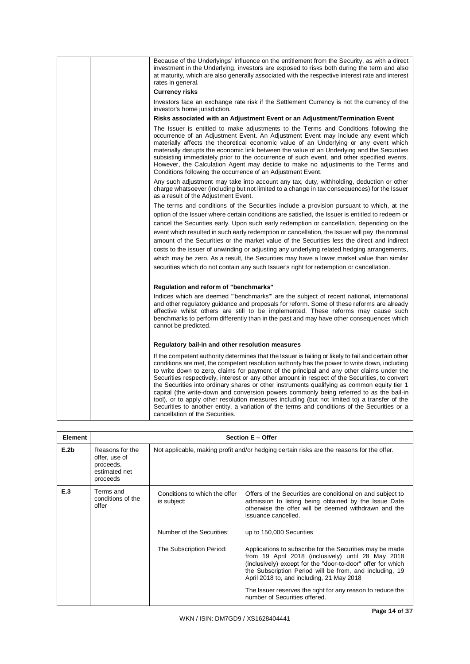| Because of the Underlyings' influence on the entitlement from the Security, as with a direct<br>investment in the Underlying, investors are exposed to risks both during the term and also<br>at maturity, which are also generally associated with the respective interest rate and interest<br>rates in general.                                                                                                                                                                                                                                                                                                                                                                                                                                                                                                                 |
|------------------------------------------------------------------------------------------------------------------------------------------------------------------------------------------------------------------------------------------------------------------------------------------------------------------------------------------------------------------------------------------------------------------------------------------------------------------------------------------------------------------------------------------------------------------------------------------------------------------------------------------------------------------------------------------------------------------------------------------------------------------------------------------------------------------------------------|
| <b>Currency risks</b>                                                                                                                                                                                                                                                                                                                                                                                                                                                                                                                                                                                                                                                                                                                                                                                                              |
| Investors face an exchange rate risk if the Settlement Currency is not the currency of the<br>investor's home jurisdiction.                                                                                                                                                                                                                                                                                                                                                                                                                                                                                                                                                                                                                                                                                                        |
| Risks associated with an Adjustment Event or an Adjustment/Termination Event                                                                                                                                                                                                                                                                                                                                                                                                                                                                                                                                                                                                                                                                                                                                                       |
| The Issuer is entitled to make adjustments to the Terms and Conditions following the<br>occurrence of an Adjustment Event. An Adjustment Event may include any event which<br>materially affects the theoretical economic value of an Underlying or any event which<br>materially disrupts the economic link between the value of an Underlying and the Securities<br>subsisting immediately prior to the occurrence of such event, and other specified events.<br>However, the Calculation Agent may decide to make no adjustments to the Terms and<br>Conditions following the occurrence of an Adjustment Event.                                                                                                                                                                                                                |
| Any such adjustment may take into account any tax, duty, withholding, deduction or other<br>charge whatsoever (including but not limited to a change in tax consequences) for the Issuer<br>as a result of the Adjustment Event.                                                                                                                                                                                                                                                                                                                                                                                                                                                                                                                                                                                                   |
| The terms and conditions of the Securities include a provision pursuant to which, at the                                                                                                                                                                                                                                                                                                                                                                                                                                                                                                                                                                                                                                                                                                                                           |
| option of the Issuer where certain conditions are satisfied, the Issuer is entitled to redeem or                                                                                                                                                                                                                                                                                                                                                                                                                                                                                                                                                                                                                                                                                                                                   |
| cancel the Securities early. Upon such early redemption or cancellation, depending on the                                                                                                                                                                                                                                                                                                                                                                                                                                                                                                                                                                                                                                                                                                                                          |
| event which resulted in such early redemption or cancellation, the Issuer will pay the nominal                                                                                                                                                                                                                                                                                                                                                                                                                                                                                                                                                                                                                                                                                                                                     |
| amount of the Securities or the market value of the Securities less the direct and indirect                                                                                                                                                                                                                                                                                                                                                                                                                                                                                                                                                                                                                                                                                                                                        |
| costs to the issuer of unwinding or adjusting any underlying related hedging arrangements,                                                                                                                                                                                                                                                                                                                                                                                                                                                                                                                                                                                                                                                                                                                                         |
| which may be zero. As a result, the Securities may have a lower market value than similar<br>securities which do not contain any such Issuer's right for redemption or cancellation.                                                                                                                                                                                                                                                                                                                                                                                                                                                                                                                                                                                                                                               |
|                                                                                                                                                                                                                                                                                                                                                                                                                                                                                                                                                                                                                                                                                                                                                                                                                                    |
| Regulation and reform of "benchmarks"                                                                                                                                                                                                                                                                                                                                                                                                                                                                                                                                                                                                                                                                                                                                                                                              |
| Indices which are deemed "benchmarks" are the subject of recent national, international<br>and other regulatory guidance and proposals for reform. Some of these reforms are already<br>effective whilst others are still to be implemented. These reforms may cause such<br>benchmarks to perform differently than in the past and may have other consequences which<br>cannot be predicted.                                                                                                                                                                                                                                                                                                                                                                                                                                      |
| Regulatory bail-in and other resolution measures                                                                                                                                                                                                                                                                                                                                                                                                                                                                                                                                                                                                                                                                                                                                                                                   |
| If the competent authority determines that the Issuer is failing or likely to fail and certain other<br>conditions are met, the competent resolution authority has the power to write down, including<br>to write down to zero, claims for payment of the principal and any other claims under the<br>Securities respectively, interest or any other amount in respect of the Securities, to convert<br>the Securities into ordinary shares or other instruments qualifying as common equity tier 1<br>capital (the write-down and conversion powers commonly being referred to as the bail-in<br>tool), or to apply other resolution measures including (but not limited to) a transfer of the<br>Securities to another entity, a variation of the terms and conditions of the Securities or a<br>cancellation of the Securities. |

| <b>Element</b> | Section E - Offer                                                          |                                                                                           |                                                                                                                                                                                                                                                                                                                                                                                                                  |  |
|----------------|----------------------------------------------------------------------------|-------------------------------------------------------------------------------------------|------------------------------------------------------------------------------------------------------------------------------------------------------------------------------------------------------------------------------------------------------------------------------------------------------------------------------------------------------------------------------------------------------------------|--|
| E.2b           | Reasons for the<br>offer, use of<br>proceeds,<br>estimated net<br>proceeds | Not applicable, making profit and/or hedging certain risks are the reasons for the offer. |                                                                                                                                                                                                                                                                                                                                                                                                                  |  |
| E.3            | Terms and<br>conditions of the<br>offer                                    | Conditions to which the offer<br>is subject:<br>Number of the Securities:                 | Offers of the Securities are conditional on and subject to<br>admission to listing being obtained by the Issue Date<br>otherwise the offer will be deemed withdrawn and the<br>issuance cancelled.                                                                                                                                                                                                               |  |
|                |                                                                            | The Subscription Period:                                                                  | up to 150,000 Securities<br>Applications to subscribe for the Securities may be made<br>from 19 April 2018 (inclusively) until 28 May 2018<br>(inclusively) except for the "door-to-door" offer for which<br>the Subscription Period will be from, and including, 19<br>April 2018 to, and including, 21 May 2018<br>The Issuer reserves the right for any reason to reduce the<br>number of Securities offered. |  |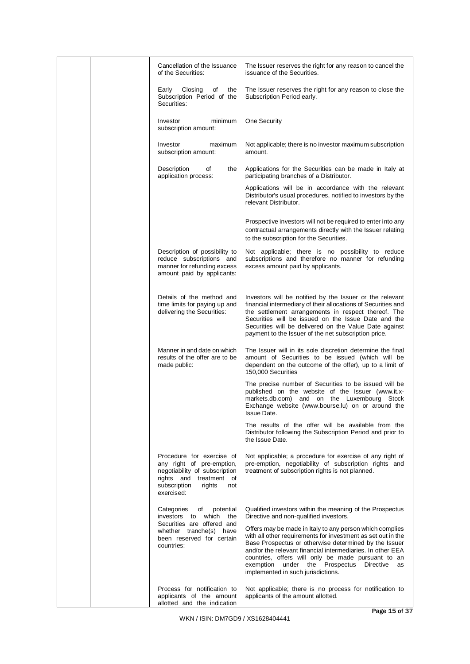|  | Cancellation of the Issuance<br>of the Securities:                                                                                                                | The Issuer reserves the right for any reason to cancel the<br>issuance of the Securities.                                                                                                                                                                                                                                                                                                        |
|--|-------------------------------------------------------------------------------------------------------------------------------------------------------------------|--------------------------------------------------------------------------------------------------------------------------------------------------------------------------------------------------------------------------------------------------------------------------------------------------------------------------------------------------------------------------------------------------|
|  | Closing<br>Early<br>of<br>the<br>Subscription Period of the<br>Securities:                                                                                        | The Issuer reserves the right for any reason to close the<br>Subscription Period early.                                                                                                                                                                                                                                                                                                          |
|  | Investor<br>minimum<br>subscription amount:                                                                                                                       | One Security                                                                                                                                                                                                                                                                                                                                                                                     |
|  | Investor<br>maximum<br>subscription amount:                                                                                                                       | Not applicable; there is no investor maximum subscription<br>amount.                                                                                                                                                                                                                                                                                                                             |
|  | Description<br>of<br>the<br>application process:                                                                                                                  | Applications for the Securities can be made in Italy at<br>participating branches of a Distributor.                                                                                                                                                                                                                                                                                              |
|  |                                                                                                                                                                   | Applications will be in accordance with the relevant<br>Distributor's usual procedures, notified to investors by the<br>relevant Distributor.                                                                                                                                                                                                                                                    |
|  |                                                                                                                                                                   | Prospective investors will not be required to enter into any<br>contractual arrangements directly with the Issuer relating<br>to the subscription for the Securities.                                                                                                                                                                                                                            |
|  | Description of possibility to<br>reduce subscriptions and<br>manner for refunding excess<br>amount paid by applicants:                                            | Not applicable; there is no possibility to reduce<br>subscriptions and therefore no manner for refunding<br>excess amount paid by applicants.                                                                                                                                                                                                                                                    |
|  | Details of the method and<br>time limits for paying up and<br>delivering the Securities:                                                                          | Investors will be notified by the Issuer or the relevant<br>financial intermediary of their allocations of Securities and<br>the settlement arrangements in respect thereof. The<br>Securities will be issued on the Issue Date and the<br>Securities will be delivered on the Value Date against<br>payment to the Issuer of the net subscription price.                                        |
|  | Manner in and date on which<br>results of the offer are to be<br>made public:                                                                                     | The Issuer will in its sole discretion determine the final<br>amount of Securities to be issued (which will be<br>dependent on the outcome of the offer), up to a limit of<br>150,000 Securities                                                                                                                                                                                                 |
|  |                                                                                                                                                                   | The precise number of Securities to be issued will be<br>published on the website of the Issuer (www.it.x-<br>and on the Luxembourg Stock<br>markets.db.com)<br>Exchange website (www.bourse.lu) on or around the<br>Issue Date.                                                                                                                                                                 |
|  |                                                                                                                                                                   | The results of the offer will be available from the<br>Distributor following the Subscription Period and prior to<br>the Issue Date.                                                                                                                                                                                                                                                             |
|  | Procedure for exercise of<br>any right of pre-emption,<br>negotiability of subscription<br>rights and treatment of<br>subscription<br>rights<br>not<br>exercised: | Not applicable; a procedure for exercise of any right of<br>pre-emption, negotiability of subscription rights and<br>treatment of subscription rights is not planned.                                                                                                                                                                                                                            |
|  | Categories<br>of<br>potential<br>which<br>investors to<br>the                                                                                                     | Qualified investors within the meaning of the Prospectus<br>Directive and non-qualified investors.                                                                                                                                                                                                                                                                                               |
|  | Securities are offered and<br>whether tranche(s) have<br>been reserved for certain<br>countries:                                                                  | Offers may be made in Italy to any person which complies<br>with all other requirements for investment as set out in the<br>Base Prospectus or otherwise determined by the Issuer<br>and/or the relevant financial intermediaries. In other EEA<br>countries, offers will only be made pursuant to an<br>under the Prospectus Directive<br>exemption<br>as<br>implemented in such jurisdictions. |
|  | Process for notification to<br>applicants of the amount<br>allotted and the indication                                                                            | Not applicable; there is no process for notification to<br>applicants of the amount allotted.                                                                                                                                                                                                                                                                                                    |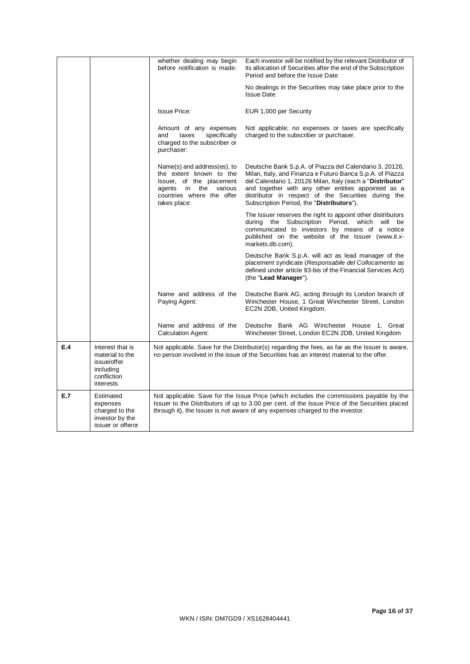|     |                                                                                             | whether dealing may begin<br>before notification is made:                                                                                                      | Each investor will be notified by the relevant Distributor of<br>its allocation of Securities after the end of the Subscription<br>Period and before the Issue Date                                                                                                                                                                           |
|-----|---------------------------------------------------------------------------------------------|----------------------------------------------------------------------------------------------------------------------------------------------------------------|-----------------------------------------------------------------------------------------------------------------------------------------------------------------------------------------------------------------------------------------------------------------------------------------------------------------------------------------------|
|     |                                                                                             |                                                                                                                                                                | No dealings in the Securities may take place prior to the<br><b>Issue Date</b>                                                                                                                                                                                                                                                                |
|     |                                                                                             | <b>Issue Price:</b>                                                                                                                                            | EUR 1,000 per Security                                                                                                                                                                                                                                                                                                                        |
|     |                                                                                             | Amount of any expenses<br>taxes<br>specifically<br>and<br>charged to the subscriber or<br>purchaser:                                                           | Not applicable; no expenses or taxes are specifically<br>charged to the subscriber or purchaser.                                                                                                                                                                                                                                              |
|     |                                                                                             | Name(s) and address(es), to<br>the extent known to the<br>Issuer, of the placement<br>agents in<br>the<br>various<br>countries where the offer<br>takes place: | Deutsche Bank S.p.A. of Piazza del Calendario 3, 20126,<br>Milan, Italy, and Finanza e Futuro Banca S.p.A. of Piazza<br>del Calendario 1, 20126 Milan, Italy (each a "Distributor"<br>and together with any other entities appointed as a<br>distributor in respect of the Securities during the<br>Subscription Period, the "Distributors"). |
|     |                                                                                             |                                                                                                                                                                | The Issuer reserves the right to appoint other distributors<br>during the Subscription Period, which will be<br>communicated to investors by means of a notice<br>published on the website of the Issuer (www.it.x-<br>markets.db.com).                                                                                                       |
|     |                                                                                             |                                                                                                                                                                | Deutsche Bank S.p.A. will act as lead manager of the<br>placement syndicate (Responsabile del Collocamento as<br>defined under article 93-bis of the Financial Services Act)<br>(the "Lead Manager").                                                                                                                                         |
|     |                                                                                             | Name and address of the<br>Paying Agent:                                                                                                                       | Deutsche Bank AG, acting through its London branch of<br>Winchester House, 1 Great Winchester Street, London<br>EC2N 2DB, United Kingdom.                                                                                                                                                                                                     |
|     |                                                                                             | Name and address of the<br><b>Calculation Agent:</b>                                                                                                           | Deutsche Bank AG Winchester House 1, Great<br>Winchester Street, London EC2N 2DB, United Kingdom                                                                                                                                                                                                                                              |
| E.4 | Interest that is<br>material to the<br>issue/offer<br>including<br>confliction<br>interests |                                                                                                                                                                | Not applicable. Save for the Distributor(s) regarding the fees, as far as the Issuer is aware,<br>no person involved in the issue of the Securities has an interest material to the offer.                                                                                                                                                    |
| E.7 | Estimated<br>expenses<br>charged to the<br>investor by the<br>issuer or offeror             |                                                                                                                                                                | Not applicable. Save for the Issue Price (which includes the commissions payable by the<br>Issuer to the Distributors of up to 3.00 per cent. of the Issue Price of the Securities placed<br>through it), the Issuer is not aware of any expenses charged to the investor.                                                                    |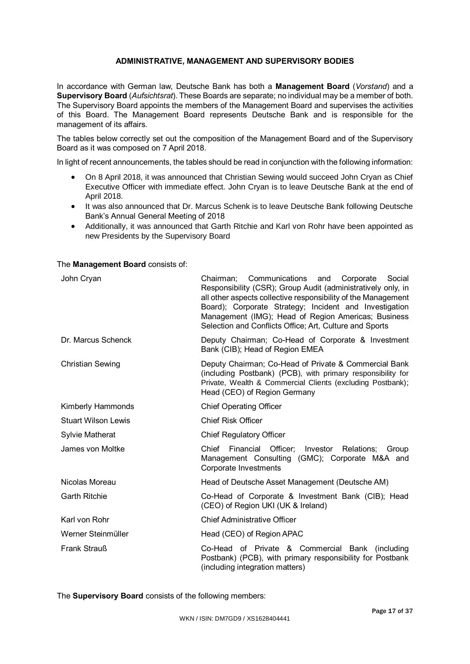# **ADMINISTRATIVE, MANAGEMENT AND SUPERVISORY BODIES**

In accordance with German law, Deutsche Bank has both a **Management Board** (*Vorstand*) and a **Supervisory Board** (*Aufsichtsrat*). These Boards are separate; no individual may be a member of both. The Supervisory Board appoints the members of the Management Board and supervises the activities of this Board. The Management Board represents Deutsche Bank and is responsible for the management of its affairs.

The tables below correctly set out the composition of the Management Board and of the Supervisory Board as it was composed on 7 April 2018.

In light of recent announcements, the tables should be read in conjunction with the following information:

- On 8 April 2018, it was announced that Christian Sewing would succeed John Cryan as Chief Executive Officer with immediate effect. John Cryan is to leave Deutsche Bank at the end of April 2018.
- It was also announced that Dr. Marcus Schenk is to leave Deutsche Bank following Deutsche Bank's Annual General Meeting of 2018
- Additionally, it was announced that Garth Ritchie and Karl von Rohr have been appointed as new Presidents by the Supervisory Board

### The **Management Board** consists of:

| John Cryan                 | Chairman; Communications and<br>Corporate<br>Social<br>Responsibility (CSR); Group Audit (administratively only, in<br>all other aspects collective responsibility of the Management<br>Board); Corporate Strategy; Incident and Investigation<br>Management (IMG); Head of Region Americas; Business<br>Selection and Conflicts Office; Art, Culture and Sports |  |
|----------------------------|------------------------------------------------------------------------------------------------------------------------------------------------------------------------------------------------------------------------------------------------------------------------------------------------------------------------------------------------------------------|--|
| Dr. Marcus Schenck         | Deputy Chairman; Co-Head of Corporate & Investment<br>Bank (CIB); Head of Region EMEA                                                                                                                                                                                                                                                                            |  |
| <b>Christian Sewing</b>    | Deputy Chairman; Co-Head of Private & Commercial Bank<br>(including Postbank) (PCB), with primary responsibility for<br>Private, Wealth & Commercial Clients (excluding Postbank);<br>Head (CEO) of Region Germany                                                                                                                                               |  |
| Kimberly Hammonds          | <b>Chief Operating Officer</b>                                                                                                                                                                                                                                                                                                                                   |  |
| <b>Stuart Wilson Lewis</b> | <b>Chief Risk Officer</b>                                                                                                                                                                                                                                                                                                                                        |  |
| <b>Sylvie Matherat</b>     | <b>Chief Regulatory Officer</b>                                                                                                                                                                                                                                                                                                                                  |  |
| James von Moltke           | Financial Officer;<br>Chief<br>Investor<br>Relations:<br>Group<br>Management Consulting (GMC); Corporate M&A and<br>Corporate Investments                                                                                                                                                                                                                        |  |
| Nicolas Moreau             | Head of Deutsche Asset Management (Deutsche AM)                                                                                                                                                                                                                                                                                                                  |  |
| <b>Garth Ritchie</b>       | Co-Head of Corporate & Investment Bank (CIB); Head<br>(CEO) of Region UKI (UK & Ireland)                                                                                                                                                                                                                                                                         |  |
| Karl von Rohr              | <b>Chief Administrative Officer</b>                                                                                                                                                                                                                                                                                                                              |  |
| Werner Steinmüller         | Head (CEO) of Region APAC                                                                                                                                                                                                                                                                                                                                        |  |
| <b>Frank Strauß</b>        | Co-Head of Private & Commercial Bank (including<br>Postbank) (PCB), with primary responsibility for Postbank<br>(including integration matters)                                                                                                                                                                                                                  |  |

The **Supervisory Board** consists of the following members: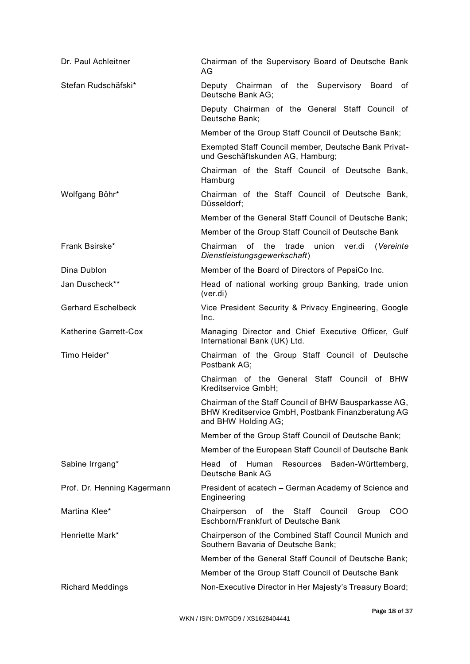| Dr. Paul Achleitner         | Chairman of the Supervisory Board of Deutsche Bank<br>AG                                                                           |  |  |
|-----------------------------|------------------------------------------------------------------------------------------------------------------------------------|--|--|
| Stefan Rudschäfski*         | Deputy Chairman of the Supervisory Board<br>of<br>Deutsche Bank AG;                                                                |  |  |
|                             | Deputy Chairman of the General Staff Council of<br>Deutsche Bank;                                                                  |  |  |
|                             | Member of the Group Staff Council of Deutsche Bank;                                                                                |  |  |
|                             | Exempted Staff Council member, Deutsche Bank Privat-<br>und Geschäftskunden AG, Hamburg;                                           |  |  |
|                             | Chairman of the Staff Council of Deutsche Bank,<br>Hamburg                                                                         |  |  |
| Wolfgang Böhr*              | Chairman of the Staff Council of Deutsche Bank,<br>Düsseldorf;                                                                     |  |  |
|                             | Member of the General Staff Council of Deutsche Bank;                                                                              |  |  |
|                             | Member of the Group Staff Council of Deutsche Bank                                                                                 |  |  |
| Frank Bsirske*              | of<br>the<br>union<br>Chairman<br>trade<br>ver.di<br>(Vereinte<br>Dienstleistungsgewerkschaft)                                     |  |  |
| Dina Dublon                 | Member of the Board of Directors of PepsiCo Inc.                                                                                   |  |  |
| Jan Duscheck**              | Head of national working group Banking, trade union<br>(ver.di)                                                                    |  |  |
| <b>Gerhard Eschelbeck</b>   | Vice President Security & Privacy Engineering, Google<br>Inc.                                                                      |  |  |
| Katherine Garrett-Cox       | Managing Director and Chief Executive Officer, Gulf<br>International Bank (UK) Ltd.                                                |  |  |
| Timo Heider*                | Chairman of the Group Staff Council of Deutsche<br>Postbank AG;                                                                    |  |  |
|                             | Chairman of the General Staff Council of BHW<br>Kreditservice GmbH;                                                                |  |  |
|                             | Chairman of the Staff Council of BHW Bausparkasse AG,<br>BHW Kreditservice GmbH, Postbank Finanzberatung AG<br>and BHW Holding AG; |  |  |
|                             | Member of the Group Staff Council of Deutsche Bank;                                                                                |  |  |
|                             | Member of the European Staff Council of Deutsche Bank                                                                              |  |  |
| Sabine Irrgang*             | Head of<br>Human<br>Resources Baden-Württemberg,<br>Deutsche Bank AG                                                               |  |  |
| Prof. Dr. Henning Kagermann | President of acatech - German Academy of Science and<br>Engineering                                                                |  |  |
| Martina Klee*               | Chairperson<br>of the Staff Council<br>Group<br>COO<br>Eschborn/Frankfurt of Deutsche Bank                                         |  |  |
| Henriette Mark*             | Chairperson of the Combined Staff Council Munich and<br>Southern Bavaria of Deutsche Bank;                                         |  |  |
|                             | Member of the General Staff Council of Deutsche Bank;                                                                              |  |  |
|                             | Member of the Group Staff Council of Deutsche Bank                                                                                 |  |  |
| <b>Richard Meddings</b>     | Non-Executive Director in Her Majesty's Treasury Board;                                                                            |  |  |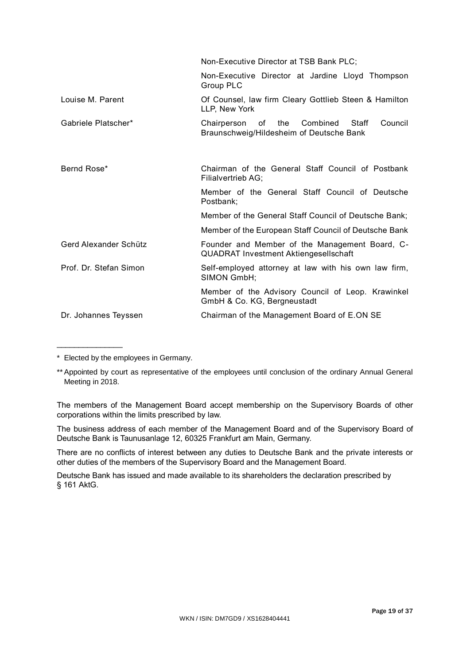|                        | Non-Executive Director at TSB Bank PLC;                                                        |  |  |
|------------------------|------------------------------------------------------------------------------------------------|--|--|
|                        | Non-Executive Director at Jardine Lloyd Thompson<br>Group PLC                                  |  |  |
| Louise M. Parent       | Of Counsel, law firm Cleary Gottlieb Steen & Hamilton<br>LLP, New York                         |  |  |
| Gabriele Platscher*    | Council<br>Chairperson of<br>the Combined Staff<br>Braunschweig/Hildesheim of Deutsche Bank    |  |  |
|                        |                                                                                                |  |  |
| Bernd Rose*            | Chairman of the General Staff Council of Postbank<br>Filialvertrieb AG;                        |  |  |
|                        | Member of the General Staff Council of Deutsche<br>Postbank;                                   |  |  |
|                        | Member of the General Staff Council of Deutsche Bank;                                          |  |  |
|                        | Member of the European Staff Council of Deutsche Bank                                          |  |  |
| Gerd Alexander Schütz  | Founder and Member of the Management Board, C-<br><b>QUADRAT Investment Aktiengesellschaft</b> |  |  |
| Prof. Dr. Stefan Simon | Self-employed attorney at law with his own law firm,<br>SIMON GmbH;                            |  |  |
|                        | Member of the Advisory Council of Leop. Krawinkel<br>GmbH & Co. KG, Bergneustadt               |  |  |
| Dr. Johannes Teyssen   | Chairman of the Management Board of E.ON SE                                                    |  |  |
|                        |                                                                                                |  |  |

\* Elected by the employees in Germany.

 $\mathcal{L}$  , we have the set of the set of the set of the set of the set of the set of the set of the set of the set of the set of the set of the set of the set of the set of the set of the set of the set of the set of the

The members of the Management Board accept membership on the Supervisory Boards of other corporations within the limits prescribed by law.

The business address of each member of the Management Board and of the Supervisory Board of Deutsche Bank is Taunusanlage 12, 60325 Frankfurt am Main, Germany.

There are no conflicts of interest between any duties to Deutsche Bank and the private interests or other duties of the members of the Supervisory Board and the Management Board.

Deutsche Bank has issued and made available to its shareholders the declaration prescribed by § 161 AktG.

<sup>\*\*</sup>Appointed by court as representative of the employees until conclusion of the ordinary Annual General Meeting in 2018.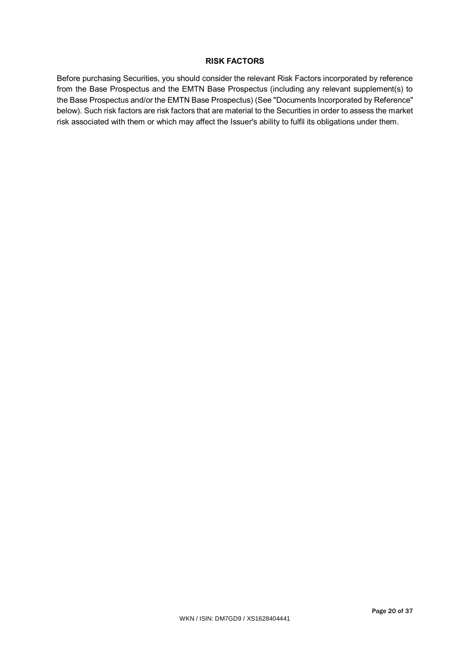# **RISK FACTORS**

Before purchasing Securities, you should consider the relevant Risk Factors incorporated by reference from the Base Prospectus and the EMTN Base Prospectus (including any relevant supplement(s) to the Base Prospectus and/or the EMTN Base Prospectus) (See "Documents Incorporated by Reference" below). Such risk factors are risk factors that are material to the Securities in order to assess the market risk associated with them or which may affect the Issuer's ability to fulfil its obligations under them.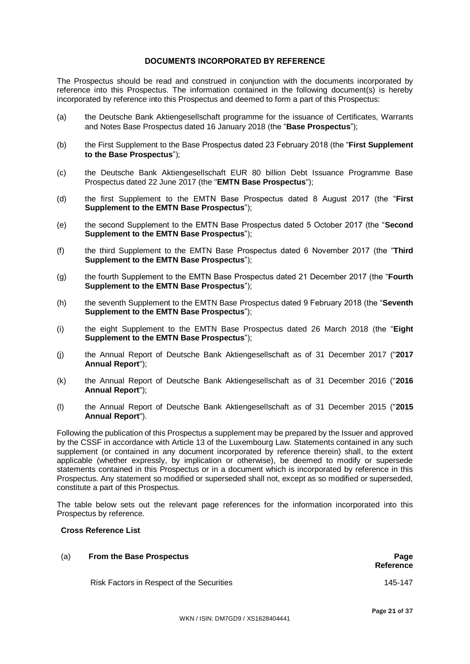# **DOCUMENTS INCORPORATED BY REFERENCE**

The Prospectus should be read and construed in conjunction with the documents incorporated by reference into this Prospectus. The information contained in the following document(s) is hereby incorporated by reference into this Prospectus and deemed to form a part of this Prospectus:

- (a) the Deutsche Bank Aktiengesellschaft programme for the issuance of Certificates, Warrants and Notes Base Prospectus dated 16 January 2018 (the "**Base Prospectus**");
- (b) the First Supplement to the Base Prospectus dated 23 February 2018 (the "**First Supplement to the Base Prospectus**");
- (c) the Deutsche Bank Aktiengesellschaft EUR 80 billion Debt Issuance Programme Base Prospectus dated 22 June 2017 (the "**EMTN Base Prospectus**");
- (d) the first Supplement to the EMTN Base Prospectus dated 8 August 2017 (the "**First Supplement to the EMTN Base Prospectus**");
- (e) the second Supplement to the EMTN Base Prospectus dated 5 October 2017 (the "**Second Supplement to the EMTN Base Prospectus**");
- (f) the third Supplement to the EMTN Base Prospectus dated 6 November 2017 (the "**Third Supplement to the EMTN Base Prospectus**");
- (g) the fourth Supplement to the EMTN Base Prospectus dated 21 December 2017 (the "**Fourth Supplement to the EMTN Base Prospectus**");
- (h) the seventh Supplement to the EMTN Base Prospectus dated 9 February 2018 (the "**Seventh Supplement to the EMTN Base Prospectus**");
- (i) the eight Supplement to the EMTN Base Prospectus dated 26 March 2018 (the "**Eight Supplement to the EMTN Base Prospectus**");
- (j) the Annual Report of Deutsche Bank Aktiengesellschaft as of 31 December 2017 ("**2017 Annual Report**");
- (k) the Annual Report of Deutsche Bank Aktiengesellschaft as of 31 December 2016 ("**2016 Annual Report**");
- (l) the Annual Report of Deutsche Bank Aktiengesellschaft as of 31 December 2015 ("**2015 Annual Report**").

Following the publication of this Prospectus a supplement may be prepared by the Issuer and approved by the CSSF in accordance with Article 13 of the Luxembourg Law. Statements contained in any such supplement (or contained in any document incorporated by reference therein) shall, to the extent applicable (whether expressly, by implication or otherwise), be deemed to modify or supersede statements contained in this Prospectus or in a document which is incorporated by reference in this Prospectus. Any statement so modified or superseded shall not, except as so modified or superseded, constitute a part of this Prospectus.

The table below sets out the relevant page references for the information incorporated into this Prospectus by reference.

# **Cross Reference List**

# (a) **From the Base Prospectus Page Reference** Risk Factors in Respect of the Securities 145-147

Page 21 of 37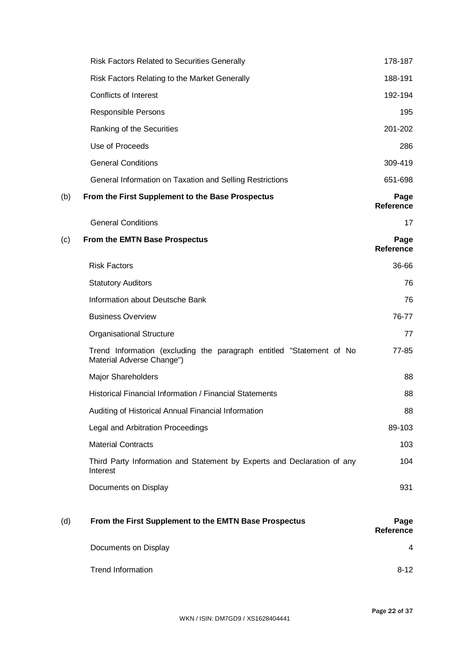|     | <b>Risk Factors Related to Securities Generally</b>                                               | 178-187                  |
|-----|---------------------------------------------------------------------------------------------------|--------------------------|
|     | Risk Factors Relating to the Market Generally                                                     | 188-191                  |
|     | <b>Conflicts of Interest</b>                                                                      | 192-194                  |
|     | Responsible Persons                                                                               | 195                      |
|     | Ranking of the Securities                                                                         | 201-202                  |
|     | Use of Proceeds                                                                                   | 286                      |
|     | <b>General Conditions</b>                                                                         | 309-419                  |
|     | General Information on Taxation and Selling Restrictions                                          | 651-698                  |
| (b) | From the First Supplement to the Base Prospectus                                                  | Page<br><b>Reference</b> |
|     | <b>General Conditions</b>                                                                         | 17                       |
| (c) | From the EMTN Base Prospectus                                                                     | Page<br><b>Reference</b> |
|     | <b>Risk Factors</b>                                                                               | 36-66                    |
|     | <b>Statutory Auditors</b>                                                                         | 76                       |
|     | Information about Deutsche Bank                                                                   | 76                       |
|     | <b>Business Overview</b>                                                                          | 76-77                    |
|     | <b>Organisational Structure</b>                                                                   | 77                       |
|     | Trend Information (excluding the paragraph entitled "Statement of No<br>Material Adverse Change") | 77-85                    |
|     | <b>Major Shareholders</b>                                                                         | 88                       |
|     | Historical Financial Information / Financial Statements                                           | 88                       |
|     | Auditing of Historical Annual Financial Information                                               | 88                       |
|     | Legal and Arbitration Proceedings                                                                 | 89-103                   |
|     | <b>Material Contracts</b>                                                                         | 103                      |
|     | Third Party Information and Statement by Experts and Declaration of any<br>Interest               | 104                      |
|     | Documents on Display                                                                              | 931                      |
| (d) | From the First Supplement to the EMTN Base Prospectus                                             | Page<br>Reference        |
|     | Documents on Display                                                                              | 4                        |
|     | <b>Trend Information</b>                                                                          | $8 - 12$                 |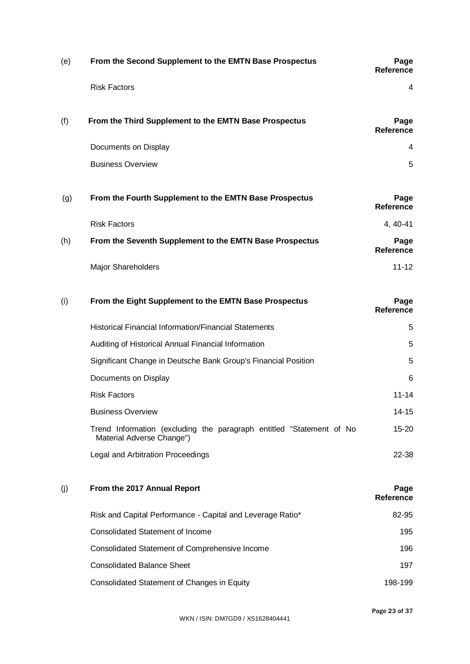| (e) | From the Second Supplement to the EMTN Base Prospectus                                            | Page<br><b>Reference</b> |
|-----|---------------------------------------------------------------------------------------------------|--------------------------|
|     | <b>Risk Factors</b>                                                                               | 4                        |
| (f) | From the Third Supplement to the EMTN Base Prospectus                                             | Page<br><b>Reference</b> |
|     | Documents on Display                                                                              | 4                        |
|     | <b>Business Overview</b>                                                                          | 5                        |
| (g) | From the Fourth Supplement to the EMTN Base Prospectus                                            | Page<br><b>Reference</b> |
|     | <b>Risk Factors</b>                                                                               | 4, 40-41                 |
| (h) | From the Seventh Supplement to the EMTN Base Prospectus                                           | Page<br><b>Reference</b> |
|     | <b>Major Shareholders</b>                                                                         | $11 - 12$                |
| (i) | From the Eight Supplement to the EMTN Base Prospectus                                             | Page<br><b>Reference</b> |
|     | <b>Historical Financial Information/Financial Statements</b>                                      | 5                        |
|     | Auditing of Historical Annual Financial Information                                               | 5                        |
|     | Significant Change in Deutsche Bank Group's Financial Position                                    | 5                        |
|     | Documents on Display                                                                              | 6                        |
|     | <b>Risk Factors</b>                                                                               | $11 - 14$                |
|     | <b>Business Overview</b>                                                                          | $14 - 15$                |
|     | Trend Information (excluding the paragraph entitled "Statement of No<br>Material Adverse Change") | 15-20                    |
|     | Legal and Arbitration Proceedings                                                                 | 22-38                    |
| (j) | From the 2017 Annual Report                                                                       | Page<br><b>Reference</b> |
|     | Risk and Capital Performance - Capital and Leverage Ratio*                                        | 82-95                    |
|     | <b>Consolidated Statement of Income</b>                                                           | 195                      |
|     | Consolidated Statement of Comprehensive Income                                                    | 196                      |
|     | <b>Consolidated Balance Sheet</b>                                                                 | 197                      |
|     | Consolidated Statement of Changes in Equity                                                       | 198-199                  |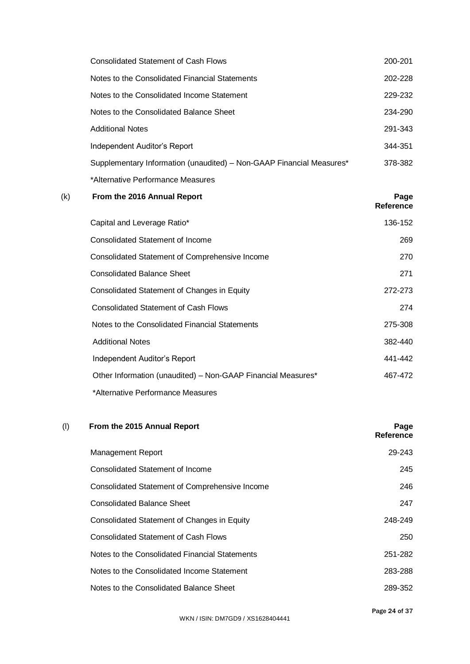| Consolidated Statement of Cash Flows                                 | 200-201 |
|----------------------------------------------------------------------|---------|
| Notes to the Consolidated Financial Statements                       | 202-228 |
| Notes to the Consolidated Income Statement                           | 229-232 |
| Notes to the Consolidated Balance Sheet                              | 234-290 |
| <b>Additional Notes</b>                                              | 291-343 |
| Independent Auditor's Report                                         | 344-351 |
| Supplementary Information (unaudited) - Non-GAAP Financial Measures* | 378-382 |
| *Alternative Performance Measures                                    |         |

| (k) | From the 2016 Annual Report                                  | Page<br>Reference |
|-----|--------------------------------------------------------------|-------------------|
|     | Capital and Leverage Ratio*                                  | 136-152           |
|     | Consolidated Statement of Income                             | 269               |
|     | Consolidated Statement of Comprehensive Income               | 270               |
|     | <b>Consolidated Balance Sheet</b>                            | 271               |
|     | Consolidated Statement of Changes in Equity                  | 272-273           |
|     | <b>Consolidated Statement of Cash Flows</b>                  | 274               |
|     | Notes to the Consolidated Financial Statements               | 275-308           |
|     | <b>Additional Notes</b>                                      | 382-440           |
|     | Independent Auditor's Report                                 | 441-442           |
|     | Other Information (unaudited) - Non-GAAP Financial Measures* | 467-472           |
|     | *Alternative Performance Measures                            |                   |

| (1) | From the 2015 Annual Report                    | Page<br>Reference |
|-----|------------------------------------------------|-------------------|
|     | <b>Management Report</b>                       | 29-243            |
|     | Consolidated Statement of Income               | 245               |
|     | Consolidated Statement of Comprehensive Income | 246               |
|     | <b>Consolidated Balance Sheet</b>              | 247               |
|     | Consolidated Statement of Changes in Equity    | 248-249           |
|     | <b>Consolidated Statement of Cash Flows</b>    | 250               |
|     | Notes to the Consolidated Financial Statements | 251-282           |
|     | Notes to the Consolidated Income Statement     | 283-288           |
|     | Notes to the Consolidated Balance Sheet        | 289-352           |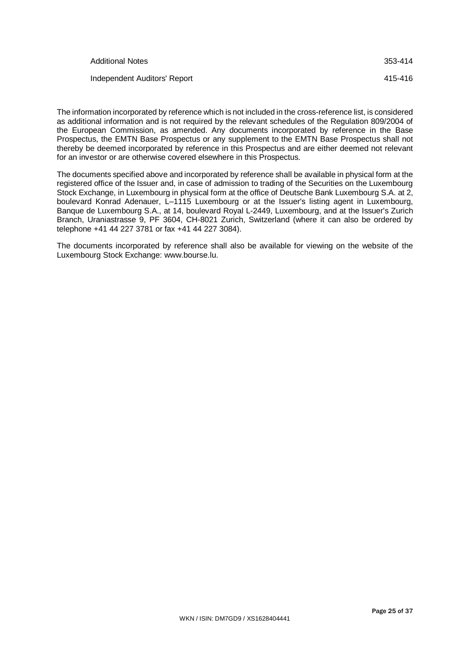| <b>Additional Notes</b>      | 353-414 |
|------------------------------|---------|
| Independent Auditors' Report | 415-416 |

The information incorporated by reference which is not included in the cross-reference list, is considered as additional information and is not required by the relevant schedules of the Regulation 809/2004 of the European Commission, as amended. Any documents incorporated by reference in the Base Prospectus, the EMTN Base Prospectus or any supplement to the EMTN Base Prospectus shall not thereby be deemed incorporated by reference in this Prospectus and are either deemed not relevant for an investor or are otherwise covered elsewhere in this Prospectus.

The documents specified above and incorporated by reference shall be available in physical form at the registered office of the Issuer and, in case of admission to trading of the Securities on the Luxembourg Stock Exchange, in Luxembourg in physical form at the office of Deutsche Bank Luxembourg S.A. at 2, boulevard Konrad Adenauer, L–1115 Luxembourg or at the Issuer's listing agent in Luxembourg, Banque de Luxembourg S.A., at 14, boulevard Royal L-2449, Luxembourg, and at the Issuer's Zurich Branch, Uraniastrasse 9, PF 3604, CH-8021 Zurich, Switzerland (where it can also be ordered by telephone +41 44 227 3781 or fax +41 44 227 3084).

The documents incorporated by reference shall also be available for viewing on the website of the Luxembourg Stock Exchange: www.bourse.lu.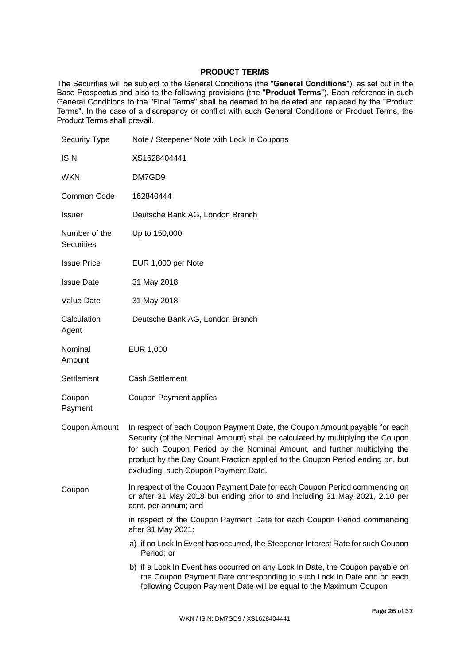# **PRODUCT TERMS**

The Securities will be subject to the General Conditions (the "**General Conditions**"), as set out in the Base Prospectus and also to the following provisions (the "**Product Terms**"). Each reference in such General Conditions to the "Final Terms" shall be deemed to be deleted and replaced by the "Product Terms". In the case of a discrepancy or conflict with such General Conditions or Product Terms, the Product Terms shall prevail.

| <b>Security Type</b>               | Note / Steepener Note with Lock In Coupons                                                                                                                                                                                                                                                                                                                         |
|------------------------------------|--------------------------------------------------------------------------------------------------------------------------------------------------------------------------------------------------------------------------------------------------------------------------------------------------------------------------------------------------------------------|
| <b>ISIN</b>                        | XS1628404441                                                                                                                                                                                                                                                                                                                                                       |
| <b>WKN</b>                         | DM7GD9                                                                                                                                                                                                                                                                                                                                                             |
| Common Code                        | 162840444                                                                                                                                                                                                                                                                                                                                                          |
| <b>Issuer</b>                      | Deutsche Bank AG, London Branch                                                                                                                                                                                                                                                                                                                                    |
| Number of the<br><b>Securities</b> | Up to 150,000                                                                                                                                                                                                                                                                                                                                                      |
| <b>Issue Price</b>                 | EUR 1,000 per Note                                                                                                                                                                                                                                                                                                                                                 |
| <b>Issue Date</b>                  | 31 May 2018                                                                                                                                                                                                                                                                                                                                                        |
| Value Date                         | 31 May 2018                                                                                                                                                                                                                                                                                                                                                        |
| Calculation<br>Agent               | Deutsche Bank AG, London Branch                                                                                                                                                                                                                                                                                                                                    |
| Nominal<br>Amount                  | EUR 1,000                                                                                                                                                                                                                                                                                                                                                          |
| Settlement                         | <b>Cash Settlement</b>                                                                                                                                                                                                                                                                                                                                             |
| Coupon<br>Payment                  | <b>Coupon Payment applies</b>                                                                                                                                                                                                                                                                                                                                      |
| Coupon Amount                      | In respect of each Coupon Payment Date, the Coupon Amount payable for each<br>Security (of the Nominal Amount) shall be calculated by multiplying the Coupon<br>for such Coupon Period by the Nominal Amount, and further multiplying the<br>product by the Day Count Fraction applied to the Coupon Period ending on, but<br>excluding, such Coupon Payment Date. |
| Coupon                             | In respect of the Coupon Payment Date for each Coupon Period commencing on<br>or after 31 May 2018 but ending prior to and including 31 May 2021, 2.10 per<br>cent. per annum; and                                                                                                                                                                                 |
|                                    | in respect of the Coupon Payment Date for each Coupon Period commencing<br>after 31 May 2021:                                                                                                                                                                                                                                                                      |
|                                    | a) if no Lock In Event has occurred, the Steepener Interest Rate for such Coupon<br>Period; or                                                                                                                                                                                                                                                                     |
|                                    | b) if a Lock In Event has occurred on any Lock In Date, the Coupon payable on<br>the Coupon Payment Date corresponding to such Lock In Date and on each<br>following Coupon Payment Date will be equal to the Maximum Coupon                                                                                                                                       |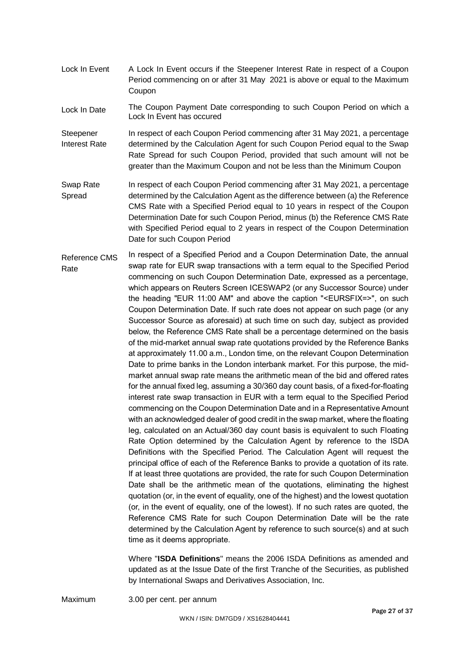- Lock In Event A Lock In Event occurs if the Steepener Interest Rate in respect of a Coupon Period commencing on or after 31 May 2021 is above or equal to the Maximum Coupon
- Lock In Date The Coupon Payment Date corresponding to such Coupon Period on which a Lock In Event has occured
- **Steepener** Interest Rate In respect of each Coupon Period commencing after 31 May 2021, a percentage determined by the Calculation Agent for such Coupon Period equal to the Swap Rate Spread for such Coupon Period, provided that such amount will not be greater than the Maximum Coupon and not be less than the Minimum Coupon
- Swap Rate Spread In respect of each Coupon Period commencing after 31 May 2021, a percentage determined by the Calculation Agent as the difference between (a) the Reference CMS Rate with a Specified Period equal to 10 years in respect of the Coupon Determination Date for such Coupon Period, minus (b) the Reference CMS Rate with Specified Period equal to 2 years in respect of the Coupon Determination Date for such Coupon Period
- Reference CMS Rate In respect of a Specified Period and a Coupon Determination Date, the annual swap rate for EUR swap transactions with a term equal to the Specified Period commencing on such Coupon Determination Date, expressed as a percentage, which appears on Reuters Screen ICESWAP2 (or any Successor Source) under the heading "EUR 11:00 AM" and above the caption "<EURSFIX=>", on such Coupon Determination Date. If such rate does not appear on such page (or any Successor Source as aforesaid) at such time on such day, subject as provided below, the Reference CMS Rate shall be a percentage determined on the basis of the mid-market annual swap rate quotations provided by the Reference Banks at approximately 11.00 a.m., London time, on the relevant Coupon Determination Date to prime banks in the London interbank market. For this purpose, the midmarket annual swap rate means the arithmetic mean of the bid and offered rates for the annual fixed leg, assuming a 30/360 day count basis, of a fixed-for-floating interest rate swap transaction in EUR with a term equal to the Specified Period commencing on the Coupon Determination Date and in a Representative Amount with an acknowledged dealer of good credit in the swap market, where the floating leg, calculated on an Actual/360 day count basis is equivalent to such Floating Rate Option determined by the Calculation Agent by reference to the ISDA Definitions with the Specified Period. The Calculation Agent will request the principal office of each of the Reference Banks to provide a quotation of its rate. If at least three quotations are provided, the rate for such Coupon Determination Date shall be the arithmetic mean of the quotations, eliminating the highest quotation (or, in the event of equality, one of the highest) and the lowest quotation (or, in the event of equality, one of the lowest). If no such rates are quoted, the Reference CMS Rate for such Coupon Determination Date will be the rate determined by the Calculation Agent by reference to such source(s) and at such time as it deems appropriate.

Where "**ISDA Definitions**" means the 2006 ISDA Definitions as amended and updated as at the Issue Date of the first Tranche of the Securities, as published by International Swaps and Derivatives Association, Inc.

Maximum 3.00 per cent. per annum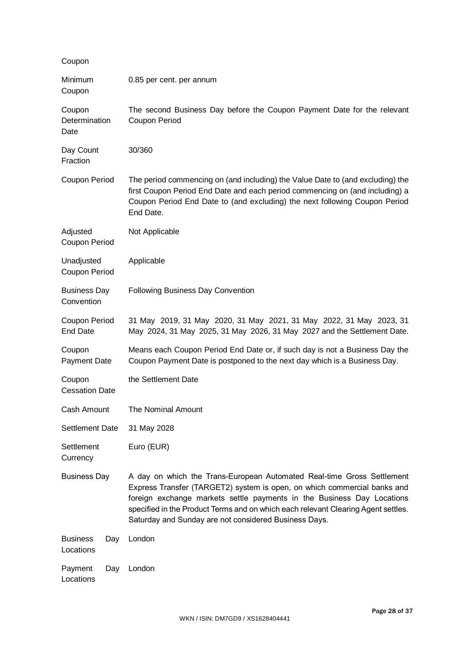| Coupon                            |     |                                                                                                                                                                                                                                                                                                                                                                            |
|-----------------------------------|-----|----------------------------------------------------------------------------------------------------------------------------------------------------------------------------------------------------------------------------------------------------------------------------------------------------------------------------------------------------------------------------|
| Minimum<br>Coupon                 |     | 0.85 per cent. per annum                                                                                                                                                                                                                                                                                                                                                   |
| Coupon<br>Determination<br>Date   |     | The second Business Day before the Coupon Payment Date for the relevant<br>Coupon Period                                                                                                                                                                                                                                                                                   |
| Day Count<br>Fraction             |     | 30/360                                                                                                                                                                                                                                                                                                                                                                     |
| Coupon Period                     |     | The period commencing on (and including) the Value Date to (and excluding) the<br>first Coupon Period End Date and each period commencing on (and including) a<br>Coupon Period End Date to (and excluding) the next following Coupon Period<br>End Date.                                                                                                                  |
| Adjusted<br>Coupon Period         |     | Not Applicable                                                                                                                                                                                                                                                                                                                                                             |
| Unadjusted<br>Coupon Period       |     | Applicable                                                                                                                                                                                                                                                                                                                                                                 |
| <b>Business Day</b><br>Convention |     | Following Business Day Convention                                                                                                                                                                                                                                                                                                                                          |
| Coupon Period<br><b>End Date</b>  |     | 31 May 2019, 31 May 2020, 31 May 2021, 31 May 2022, 31 May 2023, 31<br>May 2024, 31 May 2025, 31 May 2026, 31 May 2027 and the Settlement Date.                                                                                                                                                                                                                            |
| Coupon<br><b>Payment Date</b>     |     | Means each Coupon Period End Date or, if such day is not a Business Day the<br>Coupon Payment Date is postponed to the next day which is a Business Day.                                                                                                                                                                                                                   |
| Coupon<br><b>Cessation Date</b>   |     | the Settlement Date                                                                                                                                                                                                                                                                                                                                                        |
| Cash Amount                       |     | The Nominal Amount                                                                                                                                                                                                                                                                                                                                                         |
| Settlement Date                   |     | 31 May 2028                                                                                                                                                                                                                                                                                                                                                                |
| Settlement<br>Currency            |     | Euro (EUR)                                                                                                                                                                                                                                                                                                                                                                 |
| <b>Business Day</b>               |     | A day on which the Trans-European Automated Real-time Gross Settlement<br>Express Transfer (TARGET2) system is open, on which commercial banks and<br>foreign exchange markets settle payments in the Business Day Locations<br>specified in the Product Terms and on which each relevant Clearing Agent settles.<br>Saturday and Sunday are not considered Business Days. |
| <b>Business</b><br>Locations      | Day | London                                                                                                                                                                                                                                                                                                                                                                     |
| Payment<br>Locations              | Day | London                                                                                                                                                                                                                                                                                                                                                                     |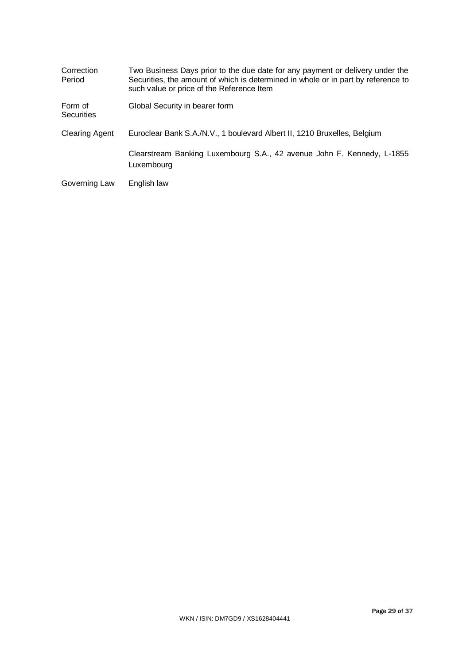| Correction<br>Period         | Two Business Days prior to the due date for any payment or delivery under the<br>Securities, the amount of which is determined in whole or in part by reference to<br>such value or price of the Reference Item |
|------------------------------|-----------------------------------------------------------------------------------------------------------------------------------------------------------------------------------------------------------------|
| Form of<br><b>Securities</b> | Global Security in bearer form                                                                                                                                                                                  |
| <b>Clearing Agent</b>        | Euroclear Bank S.A./N.V., 1 boulevard Albert II, 1210 Bruxelles, Belgium                                                                                                                                        |
|                              | Clearstream Banking Luxembourg S.A., 42 avenue John F. Kennedy, L-1855<br>Luxembourg                                                                                                                            |
| Governing Law                | English law                                                                                                                                                                                                     |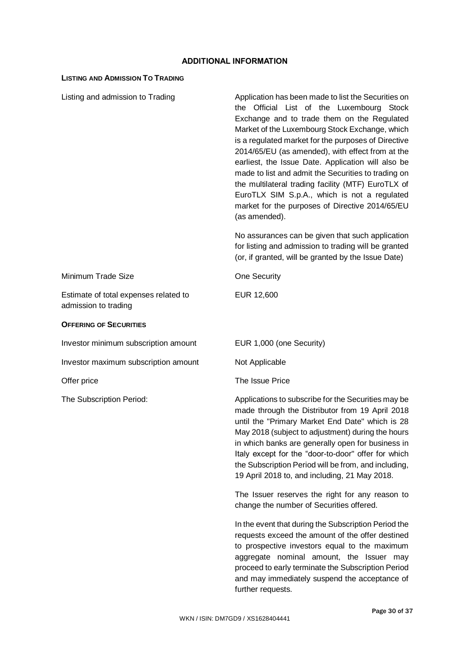# **ADDITIONAL INFORMATION**

# **LISTING AND ADMISSION TO TRADING**

| Listing and admission to Trading                              | Application has been made to list the Securities on<br>the Official List of the Luxembourg Stock<br>Exchange and to trade them on the Regulated<br>Market of the Luxembourg Stock Exchange, which<br>is a regulated market for the purposes of Directive<br>2014/65/EU (as amended), with effect from at the<br>earliest, the Issue Date. Application will also be<br>made to list and admit the Securities to trading on<br>the multilateral trading facility (MTF) EuroTLX of<br>EuroTLX SIM S.p.A., which is not a regulated<br>market for the purposes of Directive 2014/65/EU<br>(as amended). |
|---------------------------------------------------------------|-----------------------------------------------------------------------------------------------------------------------------------------------------------------------------------------------------------------------------------------------------------------------------------------------------------------------------------------------------------------------------------------------------------------------------------------------------------------------------------------------------------------------------------------------------------------------------------------------------|
|                                                               | No assurances can be given that such application<br>for listing and admission to trading will be granted<br>(or, if granted, will be granted by the Issue Date)                                                                                                                                                                                                                                                                                                                                                                                                                                     |
| Minimum Trade Size                                            | <b>One Security</b>                                                                                                                                                                                                                                                                                                                                                                                                                                                                                                                                                                                 |
| Estimate of total expenses related to<br>admission to trading | EUR 12,600                                                                                                                                                                                                                                                                                                                                                                                                                                                                                                                                                                                          |
| <b>OFFERING OF SECURITIES</b>                                 |                                                                                                                                                                                                                                                                                                                                                                                                                                                                                                                                                                                                     |
| Investor minimum subscription amount                          | EUR 1,000 (one Security)                                                                                                                                                                                                                                                                                                                                                                                                                                                                                                                                                                            |
| Investor maximum subscription amount                          | Not Applicable                                                                                                                                                                                                                                                                                                                                                                                                                                                                                                                                                                                      |
| Offer price                                                   | The Issue Price                                                                                                                                                                                                                                                                                                                                                                                                                                                                                                                                                                                     |
| The Subscription Period:                                      | Applications to subscribe for the Securities may be<br>made through the Distributor from 19 April 2018<br>until the "Primary Market End Date" which is 28<br>May 2018 (subject to adjustment) during the hours<br>in which banks are generally open for business in<br>Italy except for the "door-to-door" offer for which<br>the Subscription Period will be from, and including,<br>19 April 2018 to, and including, 21 May 2018.                                                                                                                                                                 |
|                                                               | The Issuer reserves the right for any reason to<br>change the number of Securities offered.                                                                                                                                                                                                                                                                                                                                                                                                                                                                                                         |
|                                                               | In the event that during the Subscription Period the<br>requests exceed the amount of the offer destined<br>to prospective investors equal to the maximum<br>aggregate nominal amount, the Issuer may<br>proceed to early terminate the Subscription Period<br>and may immediately suspend the acceptance of<br>further requests.                                                                                                                                                                                                                                                                   |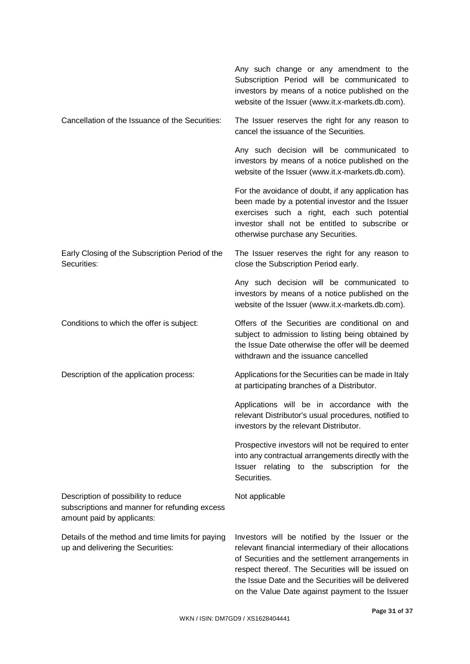|                                                                                                                     | Any such change or any amendment to the<br>Subscription Period will be communicated to<br>investors by means of a notice published on the<br>website of the Issuer (www.it.x-markets.db.com).                                                                                                                              |
|---------------------------------------------------------------------------------------------------------------------|----------------------------------------------------------------------------------------------------------------------------------------------------------------------------------------------------------------------------------------------------------------------------------------------------------------------------|
| Cancellation of the Issuance of the Securities:                                                                     | The Issuer reserves the right for any reason to<br>cancel the issuance of the Securities.                                                                                                                                                                                                                                  |
|                                                                                                                     | Any such decision will be communicated to<br>investors by means of a notice published on the<br>website of the Issuer (www.it.x-markets.db.com).                                                                                                                                                                           |
|                                                                                                                     | For the avoidance of doubt, if any application has<br>been made by a potential investor and the Issuer<br>exercises such a right, each such potential<br>investor shall not be entitled to subscribe or<br>otherwise purchase any Securities.                                                                              |
| Early Closing of the Subscription Period of the<br>Securities:                                                      | The Issuer reserves the right for any reason to<br>close the Subscription Period early.                                                                                                                                                                                                                                    |
|                                                                                                                     | Any such decision will be communicated to<br>investors by means of a notice published on the<br>website of the Issuer (www.it.x-markets.db.com).                                                                                                                                                                           |
| Conditions to which the offer is subject:                                                                           | Offers of the Securities are conditional on and<br>subject to admission to listing being obtained by<br>the Issue Date otherwise the offer will be deemed<br>withdrawn and the issuance cancelled                                                                                                                          |
| Description of the application process:                                                                             | Applications for the Securities can be made in Italy<br>at participating branches of a Distributor.                                                                                                                                                                                                                        |
|                                                                                                                     | Applications will be in accordance with the<br>relevant Distributor's usual procedures, notified to<br>investors by the relevant Distributor.                                                                                                                                                                              |
|                                                                                                                     | Prospective investors will not be required to enter<br>into any contractual arrangements directly with the<br>Issuer relating to the subscription for the<br>Securities.                                                                                                                                                   |
| Description of possibility to reduce<br>subscriptions and manner for refunding excess<br>amount paid by applicants: | Not applicable                                                                                                                                                                                                                                                                                                             |
| Details of the method and time limits for paying<br>up and delivering the Securities:                               | Investors will be notified by the Issuer or the<br>relevant financial intermediary of their allocations<br>of Securities and the settlement arrangements in<br>respect thereof. The Securities will be issued on<br>the Issue Date and the Securities will be delivered<br>on the Value Date against payment to the Issuer |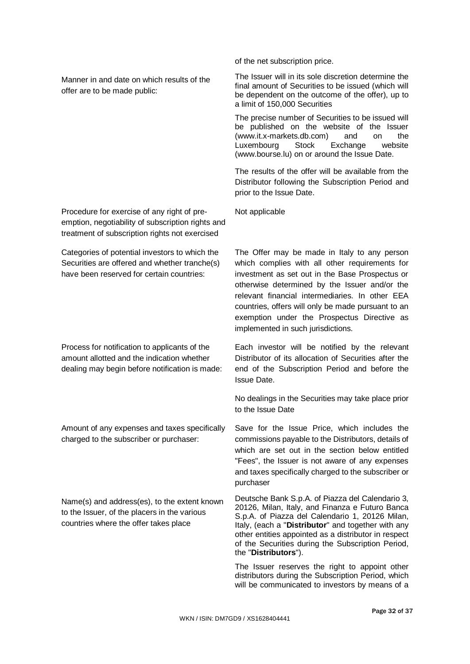Manner in and date on which results of the offer are to be made public:

Procedure for exercise of any right of preemption, negotiability of subscription rights and treatment of subscription rights not exercised

Categories of potential investors to which the Securities are offered and whether tranche(s) have been reserved for certain countries:

Process for notification to applicants of the amount allotted and the indication whether dealing may begin before notification is made:

Amount of any expenses and taxes specifically charged to the subscriber or purchaser:

Name(s) and address(es), to the extent known to the Issuer, of the placers in the various countries where the offer takes place

of the net subscription price.

The Issuer will in its sole discretion determine the final amount of Securities to be issued (which will be dependent on the outcome of the offer), up to a limit of 150,000 Securities

The precise number of Securities to be issued will be published on the website of the Issuer (www.it.x-markets.db.com) and on the<br>Luxembourg Stock Exchange website Luxembourg Stock Exchange website [\(www.bourse.lu\)](http://www.bourse.lu/) on or around the Issue Date.

The results of the offer will be available from the Distributor following the Subscription Period and prior to the Issue Date.

Not applicable

The Offer may be made in Italy to any person which complies with all other requirements for investment as set out in the Base Prospectus or otherwise determined by the Issuer and/or the relevant financial intermediaries. In other EEA countries, offers will only be made pursuant to an exemption under the Prospectus Directive as implemented in such jurisdictions.

Each investor will be notified by the relevant Distributor of its allocation of Securities after the end of the Subscription Period and before the Issue Date.

No dealings in the Securities may take place prior to the Issue Date

Save for the Issue Price, which includes the commissions payable to the Distributors, details of which are set out in the section below entitled "Fees", the Issuer is not aware of any expenses and taxes specifically charged to the subscriber or purchaser

Deutsche Bank S.p.A. of Piazza del Calendario 3, 20126, Milan, Italy, and Finanza e Futuro Banca S.p.A. of Piazza del Calendario 1, 20126 Milan, Italy, (each a "**Distributor**" and together with any other entities appointed as a distributor in respect of the Securities during the Subscription Period, the "**Distributors**").

The Issuer reserves the right to appoint other distributors during the Subscription Period, which will be communicated to investors by means of a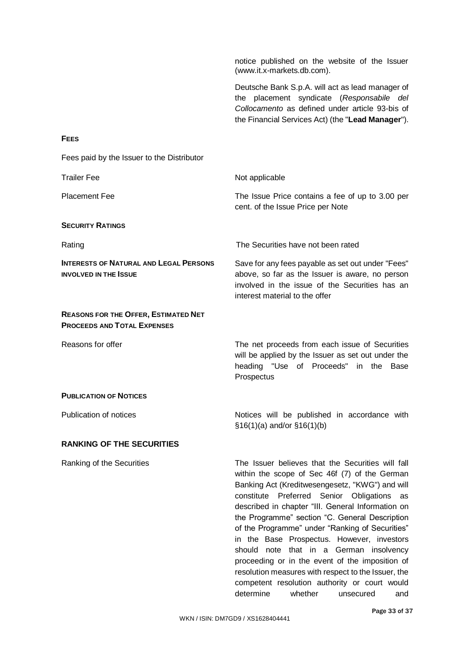notice published on the website of the Issuer (www.it.x-markets.db.com). Deutsche Bank S.p.A. will act as lead manager of the placement syndicate (*Responsabile del Collocamento* as defined under article 93-bis of the Financial Services Act) (the "**Lead Manager**"). **FEES** Fees paid by the Issuer to the Distributor Trailer Fee Not applicable Placement Fee The Issue Price contains a fee of up to 3.00 per cent. of the Issue Price per Note **SECURITY RATINGS** Rating The Securities have not been rated **INTERESTS OF NATURAL AND LEGAL PERSONS INVOLVED IN THE ISSUE** Save for any fees payable as set out under "Fees" above, so far as the Issuer is aware, no person involved in the issue of the Securities has an interest material to the offer **REASONS FOR THE OFFER, ESTIMATED NET PROCEEDS AND TOTAL EXPENSES** Reasons for offer The net proceeds from each issue of Securities will be applied by the Issuer as set out under the heading "Use of Proceeds" in the Base **Prospectus PUBLICATION OF NOTICES** Publication of notices **Notices** Notices will be published in accordance with §16(1)(a) and/or §16(1)(b) **RANKING OF THE SECURITIES** Ranking of the Securities The Issuer believes that the Securities will fall within the scope of Sec 46f (7) of the German Banking Act (Kreditwesengesetz, "KWG") and will constitute Preferred Senior Obligations as described in chapter "III. General Information on the Programme" section "C. General Description of the Programme" under "Ranking of Securities" in the Base Prospectus. However, investors should note that in a German insolvency

proceeding or in the event of the imposition of resolution measures with respect to the Issuer, the competent resolution authority or court would determine whether unsecured and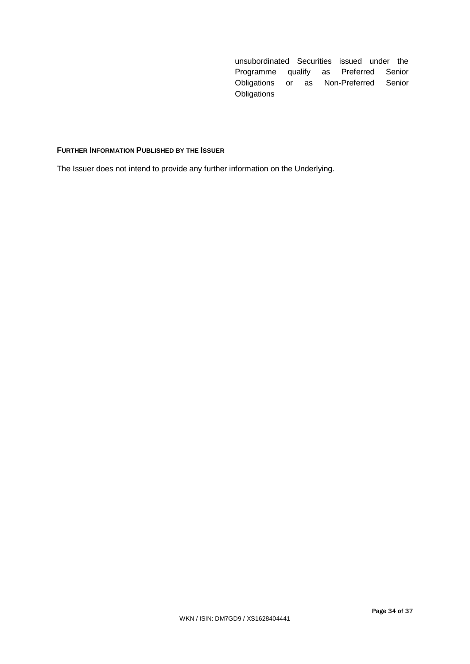unsubordinated Securities issued under the Programme qualify as Preferred Senior Obligations or as Non-Preferred Senior **Obligations** 

# **FURTHER INFORMATION PUBLISHED BY THE ISSUER**

The Issuer does not intend to provide any further information on the Underlying.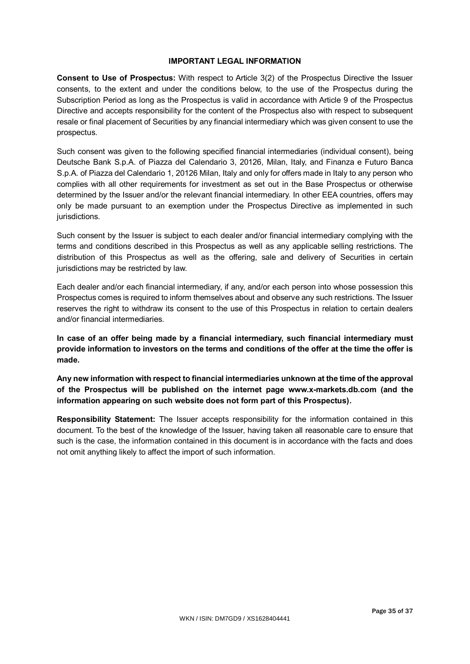# **IMPORTANT LEGAL INFORMATION**

**Consent to Use of Prospectus:** With respect to Article 3(2) of the Prospectus Directive the Issuer consents, to the extent and under the conditions below, to the use of the Prospectus during the Subscription Period as long as the Prospectus is valid in accordance with Article 9 of the Prospectus Directive and accepts responsibility for the content of the Prospectus also with respect to subsequent resale or final placement of Securities by any financial intermediary which was given consent to use the prospectus.

Such consent was given to the following specified financial intermediaries (individual consent), being Deutsche Bank S.p.A. of Piazza del Calendario 3, 20126, Milan, Italy, and Finanza e Futuro Banca S.p.A. of Piazza del Calendario 1, 20126 Milan, Italy and only for offers made in Italy to any person who complies with all other requirements for investment as set out in the Base Prospectus or otherwise determined by the Issuer and/or the relevant financial intermediary. In other EEA countries, offers may only be made pursuant to an exemption under the Prospectus Directive as implemented in such jurisdictions.

Such consent by the Issuer is subject to each dealer and/or financial intermediary complying with the terms and conditions described in this Prospectus as well as any applicable selling restrictions. The distribution of this Prospectus as well as the offering, sale and delivery of Securities in certain jurisdictions may be restricted by law.

Each dealer and/or each financial intermediary, if any, and/or each person into whose possession this Prospectus comes is required to inform themselves about and observe any such restrictions. The Issuer reserves the right to withdraw its consent to the use of this Prospectus in relation to certain dealers and/or financial intermediaries.

**In case of an offer being made by a financial intermediary, such financial intermediary must provide information to investors on the terms and conditions of the offer at the time the offer is made.**

**Any new information with respect to financial intermediaries unknown at the time of the approval of the Prospectus will be published on the internet page www.x-markets.db.com (and the information appearing on such website does not form part of this Prospectus).**

**Responsibility Statement:** The Issuer accepts responsibility for the information contained in this document. To the best of the knowledge of the Issuer, having taken all reasonable care to ensure that such is the case, the information contained in this document is in accordance with the facts and does not omit anything likely to affect the import of such information.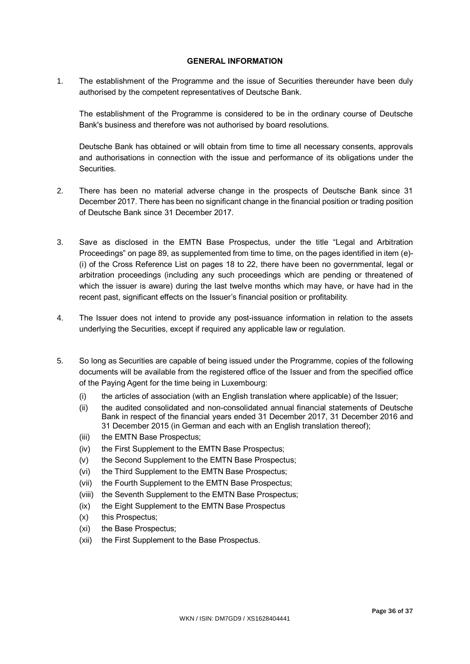# **GENERAL INFORMATION**

1. The establishment of the Programme and the issue of Securities thereunder have been duly authorised by the competent representatives of Deutsche Bank.

The establishment of the Programme is considered to be in the ordinary course of Deutsche Bank's business and therefore was not authorised by board resolutions.

Deutsche Bank has obtained or will obtain from time to time all necessary consents, approvals and authorisations in connection with the issue and performance of its obligations under the Securities.

- 2. There has been no material adverse change in the prospects of Deutsche Bank since 31 December 2017. There has been no significant change in the financial position or trading position of Deutsche Bank since 31 December 2017.
- 3. Save as disclosed in the EMTN Base Prospectus, under the title "Legal and Arbitration Proceedings" on page 89, as supplemented from time to time, on the pages identified in item (e)- (i) of the Cross Reference List on pages 18 to 22, there have been no governmental, legal or arbitration proceedings (including any such proceedings which are pending or threatened of which the issuer is aware) during the last twelve months which may have, or have had in the recent past, significant effects on the Issuer's financial position or profitability.
- 4. The Issuer does not intend to provide any post-issuance information in relation to the assets underlying the Securities, except if required any applicable law or regulation.
- 5. So long as Securities are capable of being issued under the Programme, copies of the following documents will be available from the registered office of the Issuer and from the specified office of the Paying Agent for the time being in Luxembourg:
	- (i) the articles of association (with an English translation where applicable) of the Issuer;
	- (ii) the audited consolidated and non-consolidated annual financial statements of Deutsche Bank in respect of the financial years ended 31 December 2017, 31 December 2016 and 31 December 2015 (in German and each with an English translation thereof);
	- (iii) the EMTN Base Prospectus;
	- (iv) the First Supplement to the EMTN Base Prospectus;
	- (v) the Second Supplement to the EMTN Base Prospectus;
	- (vi) the Third Supplement to the EMTN Base Prospectus;
	- (vii) the Fourth Supplement to the EMTN Base Prospectus;
	- (viii) the Seventh Supplement to the EMTN Base Prospectus;
	- (ix) the Eight Supplement to the EMTN Base Prospectus
	- (x) this Prospectus;
	- (xi) the Base Prospectus;
	- (xii) the First Supplement to the Base Prospectus.